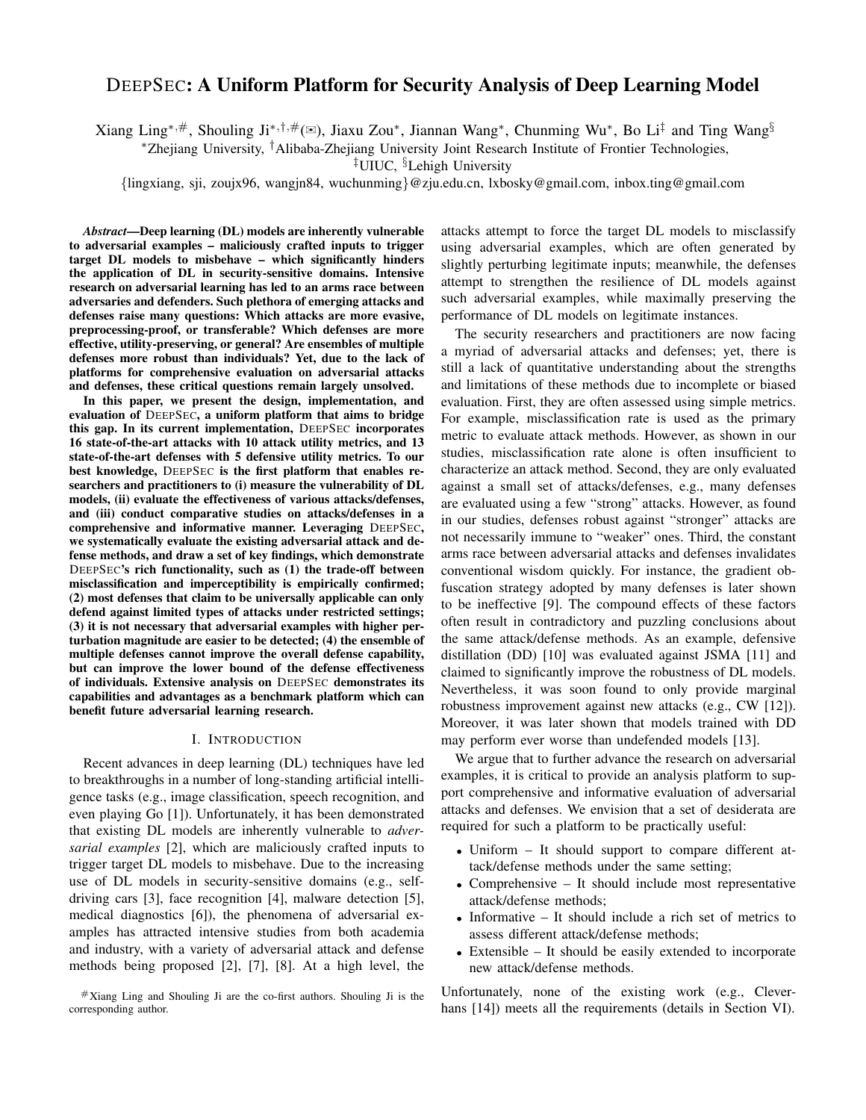# DEEPSEC: A Uniform Platform for Security Analysis of Deep Learning Model

Xiang Ling<sup>∗,#</sup>, Shouling Ji\*<sup>,†,#</sup>(⊠), Jiaxu Zou\*, Jiannan Wang\*, Chunming Wu\*, Bo Li<sup>‡</sup> and Ting Wang<sup>§</sup>

<sup>∗</sup>Zhejiang University, †Alibaba-Zhejiang University Joint Research Institute of Frontier Technologies,

‡UIUC, §Lehigh University

{lingxiang, sji, zoujx96, wangjn84, wuchunming}@zju.edu.cn, lxbosky@gmail.com, inbox.ting@gmail.com

*Abstract*—Deep learning (DL) models are inherently vulnerable to adversarial examples – maliciously crafted inputs to trigger target DL models to misbehave – which significantly hinders the application of DL in security-sensitive domains. Intensive research on adversarial learning has led to an arms race between adversaries and defenders. Such plethora of emerging attacks and defenses raise many questions: Which attacks are more evasive, preprocessing-proof, or transferable? Which defenses are more effective, utility-preserving, or general? Are ensembles of multiple defenses more robust than individuals? Yet, due to the lack of platforms for comprehensive evaluation on adversarial attacks and defenses, these critical questions remain largely unsolved.

In this paper, we present the design, implementation, and evaluation of DEEPSEC, a uniform platform that aims to bridge this gap. In its current implementation, DEEPSEC incorporates 16 state-of-the-art attacks with 10 attack utility metrics, and 13 state-of-the-art defenses with 5 defensive utility metrics. To our best knowledge, DEEPSEC is the first platform that enables researchers and practitioners to (i) measure the vulnerability of DL models, (ii) evaluate the effectiveness of various attacks/defenses, and (iii) conduct comparative studies on attacks/defenses in a comprehensive and informative manner. Leveraging DEEPSEC, we systematically evaluate the existing adversarial attack and defense methods, and draw a set of key findings, which demonstrate DEEPSEC's rich functionality, such as (1) the trade-off between misclassification and imperceptibility is empirically confirmed; (2) most defenses that claim to be universally applicable can only defend against limited types of attacks under restricted settings; (3) it is not necessary that adversarial examples with higher perturbation magnitude are easier to be detected; (4) the ensemble of multiple defenses cannot improve the overall defense capability, but can improve the lower bound of the defense effectiveness of individuals. Extensive analysis on DEEPSEC demonstrates its capabilities and advantages as a benchmark platform which can benefit future adversarial learning research.

#### I. INTRODUCTION

Recent advances in deep learning (DL) techniques have led to breakthroughs in a number of long-standing artificial intelligence tasks (e.g., image classification, speech recognition, and even playing Go [1]). Unfortunately, it has been demonstrated that existing DL models are inherently vulnerable to *adversarial examples* [2], which are maliciously crafted inputs to trigger target DL models to misbehave. Due to the increasing use of DL models in security-sensitive domains (e.g., selfdriving cars [3], face recognition [4], malware detection [5], medical diagnostics [6]), the phenomena of adversarial examples has attracted intensive studies from both academia and industry, with a variety of adversarial attack and defense methods being proposed [2], [7], [8]. At a high level, the attacks attempt to force the target DL models to misclassify using adversarial examples, which are often generated by slightly perturbing legitimate inputs; meanwhile, the defenses attempt to strengthen the resilience of DL models against such adversarial examples, while maximally preserving the performance of DL models on legitimate instances.

The security researchers and practitioners are now facing a myriad of adversarial attacks and defenses; yet, there is still a lack of quantitative understanding about the strengths and limitations of these methods due to incomplete or biased evaluation. First, they are often assessed using simple metrics. For example, misclassification rate is used as the primary metric to evaluate attack methods. However, as shown in our studies, misclassification rate alone is often insufficient to characterize an attack method. Second, they are only evaluated against a small set of attacks/defenses, e.g., many defenses are evaluated using a few "strong" attacks. However, as found in our studies, defenses robust against "stronger" attacks are not necessarily immune to "weaker" ones. Third, the constant arms race between adversarial attacks and defenses invalidates conventional wisdom quickly. For instance, the gradient obfuscation strategy adopted by many defenses is later shown to be ineffective [9]. The compound effects of these factors often result in contradictory and puzzling conclusions about the same attack/defense methods. As an example, defensive distillation (DD) [10] was evaluated against JSMA [11] and claimed to significantly improve the robustness of DL models. Nevertheless, it was soon found to only provide marginal robustness improvement against new attacks (e.g., CW [12]). Moreover, it was later shown that models trained with DD may perform ever worse than undefended models [13].

We argue that to further advance the research on adversarial examples, it is critical to provide an analysis platform to support comprehensive and informative evaluation of adversarial attacks and defenses. We envision that a set of desiderata are required for such a platform to be practically useful:

- Uniform It should support to compare different attack/defense methods under the same setting;
- Comprehensive It should include most representative attack/defense methods;
- Informative It should include a rich set of metrics to assess different attack/defense methods;
- Extensible It should be easily extended to incorporate new attack/defense methods.

Unfortunately, none of the existing work (e.g., Cleverhans [14]) meets all the requirements (details in Section VI).

 $#$ Xiang Ling and Shouling Ji are the co-first authors. Shouling Ji is the corresponding author.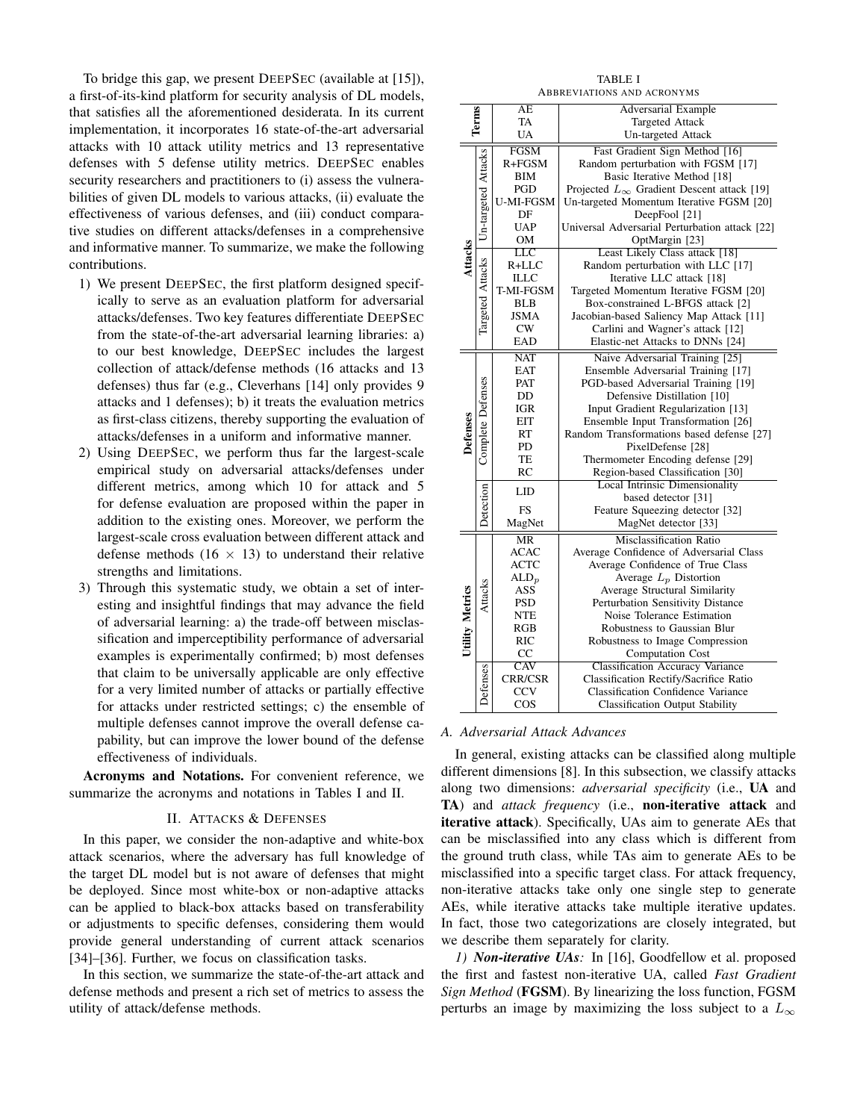To bridge this gap, we present DEEPSEC (available at [15]), a first-of-its-kind platform for security analysis of DL models, that satisfies all the aforementioned desiderata. In its current implementation, it incorporates 16 state-of-the-art adversarial attacks with 10 attack utility metrics and 13 representative defenses with 5 defense utility metrics. DEEPSEC enables security researchers and practitioners to (i) assess the vulnerabilities of given DL models to various attacks, (ii) evaluate the effectiveness of various defenses, and (iii) conduct comparative studies on different attacks/defenses in a comprehensive and informative manner. To summarize, we make the following contributions.

- 1) We present DEEPSEC, the first platform designed specifically to serve as an evaluation platform for adversarial attacks/defenses. Two key features differentiate DEEPSEC from the state-of-the-art adversarial learning libraries: a) to our best knowledge, DEEPSEC includes the largest collection of attack/defense methods (16 attacks and 13 defenses) thus far (e.g., Cleverhans [14] only provides 9 attacks and 1 defenses); b) it treats the evaluation metrics as first-class citizens, thereby supporting the evaluation of attacks/defenses in a uniform and informative manner.
- 2) Using DEEPSEC, we perform thus far the largest-scale empirical study on adversarial attacks/defenses under different metrics, among which 10 for attack and 5 for defense evaluation are proposed within the paper in addition to the existing ones. Moreover, we perform the largest-scale cross evaluation between different attack and defense methods (16  $\times$  13) to understand their relative strengths and limitations.
- 3) Through this systematic study, we obtain a set of interesting and insightful findings that may advance the field of adversarial learning: a) the trade-off between misclassification and imperceptibility performance of adversarial examples is experimentally confirmed; b) most defenses that claim to be universally applicable are only effective for a very limited number of attacks or partially effective for attacks under restricted settings; c) the ensemble of multiple defenses cannot improve the overall defense capability, but can improve the lower bound of the defense effectiveness of individuals.

Acronyms and Notations. For convenient reference, we summarize the acronyms and notations in Tables I and II.

# II. ATTACKS & DEFENSES

In this paper, we consider the non-adaptive and white-box attack scenarios, where the adversary has full knowledge of the target DL model but is not aware of defenses that might be deployed. Since most white-box or non-adaptive attacks can be applied to black-box attacks based on transferability or adjustments to specific defenses, considering them would provide general understanding of current attack scenarios [34]–[36]. Further, we focus on classification tasks.

In this section, we summarize the state-of-the-art attack and defense methods and present a rich set of metrics to assess the utility of attack/defense methods.

| TABLE I         |                     |                         |                                                     |  |  |  |  |  |  |  |
|-----------------|---------------------|-------------------------|-----------------------------------------------------|--|--|--|--|--|--|--|
|                 |                     |                         | ABBREVIATIONS AND ACRONYMS                          |  |  |  |  |  |  |  |
|                 |                     | AE                      | <b>Adversarial Example</b>                          |  |  |  |  |  |  |  |
|                 | Terms               | TA                      | <b>Targeted Attack</b>                              |  |  |  |  |  |  |  |
|                 |                     | UA                      | Un-targeted Attack                                  |  |  |  |  |  |  |  |
|                 |                     | <b>FGSM</b>             | Fast Gradient Sign Method [16]                      |  |  |  |  |  |  |  |
|                 |                     | R+FGSM                  | Random perturbation with FGSM [17]                  |  |  |  |  |  |  |  |
|                 |                     | <b>BIM</b>              | Basic Iterative Method [18]                         |  |  |  |  |  |  |  |
|                 |                     | PGD                     | Projected $L_{\infty}$ Gradient Descent attack [19] |  |  |  |  |  |  |  |
|                 |                     | U-MI-FGSM               | Un-targeted Momentum Iterative FGSM [20]            |  |  |  |  |  |  |  |
|                 | Un-targeted Attacks | DF                      | DeepFool <sup>[21]</sup>                            |  |  |  |  |  |  |  |
|                 |                     | <b>UAP</b>              | Universal Adversarial Perturbation attack [22]      |  |  |  |  |  |  |  |
|                 |                     | <b>OM</b>               | OptMargin [23]                                      |  |  |  |  |  |  |  |
| Attacks         |                     | $_{LLC}$                | Least Likely Class attack [18]                      |  |  |  |  |  |  |  |
|                 |                     | R+LLC                   | Random perturbation with LLC [17]                   |  |  |  |  |  |  |  |
|                 |                     | <b>ILLC</b>             | Iterative LLC attack [18]                           |  |  |  |  |  |  |  |
|                 |                     | T-MI-FGSM               | Targeted Momentum Iterative FGSM [20]               |  |  |  |  |  |  |  |
|                 |                     | <b>BLB</b>              | Box-constrained L-BFGS attack [2]                   |  |  |  |  |  |  |  |
|                 |                     | <b>JSMA</b>             | Jacobian-based Saliency Map Attack [11]             |  |  |  |  |  |  |  |
|                 | Targeted Attacks    | <b>CW</b>               | Carlini and Wagner's attack [12]                    |  |  |  |  |  |  |  |
|                 |                     | EAD                     | Elastic-net Attacks to DNNs [24]                    |  |  |  |  |  |  |  |
|                 |                     | $\overline{\text{NAT}}$ | Naive Adversarial Training [25]                     |  |  |  |  |  |  |  |
|                 |                     | <b>EAT</b>              | Ensemble Adversarial Training [17]                  |  |  |  |  |  |  |  |
|                 |                     | PAT                     | PGD-based Adversarial Training [19]                 |  |  |  |  |  |  |  |
|                 |                     | DD                      | Defensive Distillation [10]                         |  |  |  |  |  |  |  |
|                 |                     | IGR                     | Input Gradient Regularization [13]                  |  |  |  |  |  |  |  |
|                 |                     | EIT                     | Ensemble Input Transformation [26]                  |  |  |  |  |  |  |  |
|                 | Complete Defenses   | <b>RT</b>               | Random Transformations based defense [27]           |  |  |  |  |  |  |  |
| Defenses        |                     | PD                      | PixelDefense [28]                                   |  |  |  |  |  |  |  |
|                 |                     | TE                      | Thermometer Encoding defense [29]                   |  |  |  |  |  |  |  |
|                 |                     | RC                      | Region-based Classification [30]                    |  |  |  |  |  |  |  |
|                 |                     |                         | <b>Local Intrinsic Dimensionality</b>               |  |  |  |  |  |  |  |
|                 | Detection           | LID                     | based detector [31]                                 |  |  |  |  |  |  |  |
|                 |                     | <b>FS</b>               | Feature Squeezing detector [32]                     |  |  |  |  |  |  |  |
|                 |                     | MagNet                  | MagNet detector [33]                                |  |  |  |  |  |  |  |
|                 |                     | $\overline{\text{MR}}$  | <b>Misclassification Ratio</b>                      |  |  |  |  |  |  |  |
|                 |                     | <b>ACAC</b>             | Average Confidence of Adversarial Class             |  |  |  |  |  |  |  |
|                 |                     | <b>ACTC</b>             | Average Confidence of True Class                    |  |  |  |  |  |  |  |
|                 |                     | $ALD_p$                 | Average $L_p$ Distortion                            |  |  |  |  |  |  |  |
|                 | Attacks             | ASS                     | Average Structural Similarity                       |  |  |  |  |  |  |  |
|                 |                     | <b>PSD</b>              | Perturbation Sensitivity Distance                   |  |  |  |  |  |  |  |
|                 |                     | <b>NTE</b>              | Noise Tolerance Estimation                          |  |  |  |  |  |  |  |
|                 |                     | RGB                     | Robustness to Gaussian Blur                         |  |  |  |  |  |  |  |
| Utility Metrics |                     | <b>RIC</b>              | Robustness to Image Compression                     |  |  |  |  |  |  |  |
|                 |                     | CC                      | <b>Computation Cost</b>                             |  |  |  |  |  |  |  |
|                 |                     | CAV                     | <b>Classification Accuracy Variance</b>             |  |  |  |  |  |  |  |
|                 |                     | <b>CRR/CSR</b>          | Classification Rectify/Sacrifice Ratio              |  |  |  |  |  |  |  |
|                 | Defenses            | <b>CCV</b>              | <b>Classification Confidence Variance</b>           |  |  |  |  |  |  |  |
|                 |                     | $\cos$                  | <b>Classification Output Stability</b>              |  |  |  |  |  |  |  |

### *A. Adversarial Attack Advances*

In general, existing attacks can be classified along multiple different dimensions [8]. In this subsection, we classify attacks along two dimensions: *adversarial specificity* (i.e., UA and TA) and *attack frequency* (i.e., non-iterative attack and iterative attack). Specifically, UAs aim to generate AEs that can be misclassified into any class which is different from the ground truth class, while TAs aim to generate AEs to be misclassified into a specific target class. For attack frequency, non-iterative attacks take only one single step to generate AEs, while iterative attacks take multiple iterative updates. In fact, those two categorizations are closely integrated, but we describe them separately for clarity.

*1) Non-iterative UAs:* In [16], Goodfellow et al. proposed the first and fastest non-iterative UA, called *Fast Gradient Sign Method* (FGSM). By linearizing the loss function, FGSM perturbs an image by maximizing the loss subject to a  $L_{\infty}$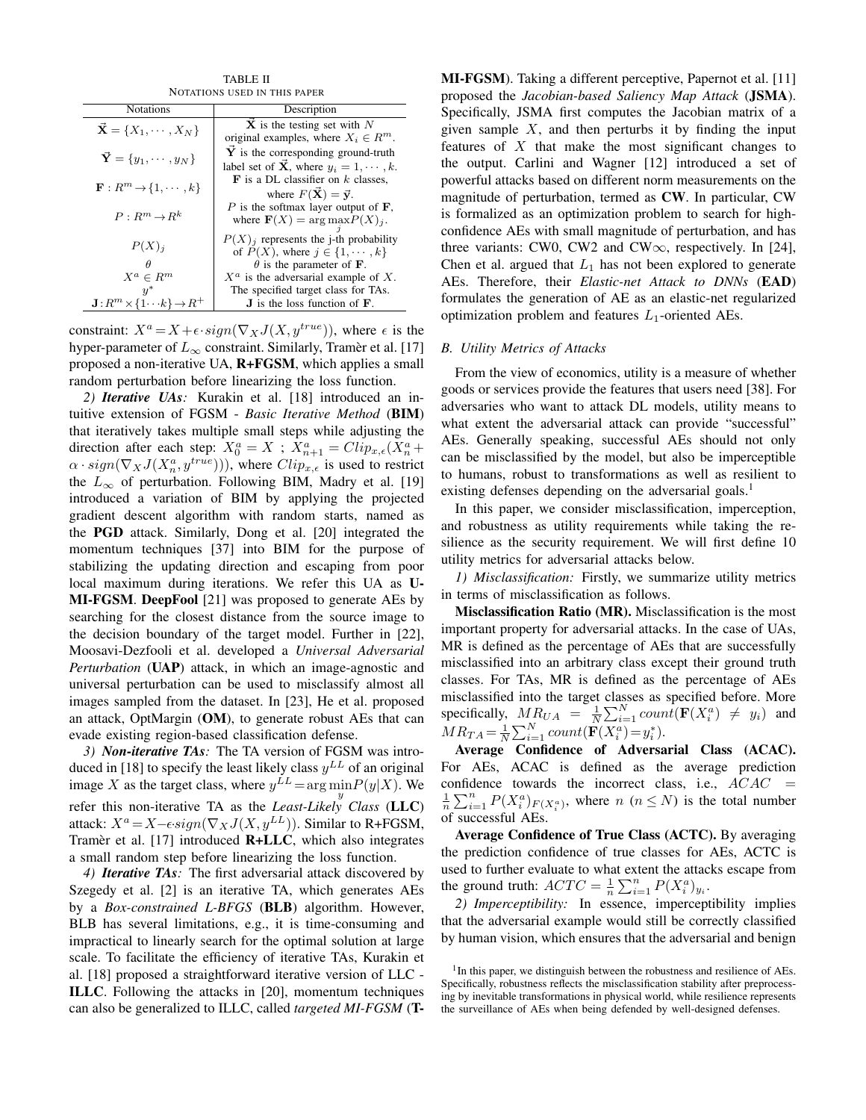| TABLE II                                                |                                                                                                              |  |  |  |  |  |  |  |  |
|---------------------------------------------------------|--------------------------------------------------------------------------------------------------------------|--|--|--|--|--|--|--|--|
|                                                         | NOTATIONS USED IN THIS PAPER                                                                                 |  |  |  |  |  |  |  |  |
| <b>Notations</b>                                        | Description                                                                                                  |  |  |  |  |  |  |  |  |
| $\vec{\mathbf{X}} = \{X_1, \cdots, X_N\}$               | $\dot{\mathbf{X}}$ is the testing set with N<br>original examples, where $X_i \in R^m$ .                     |  |  |  |  |  |  |  |  |
| $\vec{\mathbf{Y}} = \{y_1, \cdots, y_N\}$               | $\vec{Y}$ is the corresponding ground-truth<br>label set of $\vec{\mathbf{X}}$ , where $y_i = 1, \dots, k$ . |  |  |  |  |  |  |  |  |
| $\mathbf{F}: R^m \to \{1, \cdots, k\}$                  | $\bf{F}$ is a DL classifier on k classes,<br>where $F(\vec{\mathbf{X}}) = \vec{\mathbf{y}}$ .                |  |  |  |  |  |  |  |  |
| $P: R^m \rightarrow R^k$                                | P is the softmax layer output of $\mathbf{F}$ ,<br>where $\mathbf{F}(X) = \arg \max P(X)_j$ .                |  |  |  |  |  |  |  |  |
| $P(X)_i$                                                | $P(X)_i$ represents the j-th probability<br>of $P(X)$ , where $j \in \{1, \dots, k\}$                        |  |  |  |  |  |  |  |  |
|                                                         | $\theta$ is the parameter of <b>F</b> .                                                                      |  |  |  |  |  |  |  |  |
| $X^a \in R^m$                                           | $X^a$ is the adversarial example of X.                                                                       |  |  |  |  |  |  |  |  |
|                                                         | The specified target class for TAs.                                                                          |  |  |  |  |  |  |  |  |
| $\mathbf{J}: R^m \times \{1 \cdots k\} \rightarrow R^+$ | $J$ is the loss function of $F$ .                                                                            |  |  |  |  |  |  |  |  |

constraint:  $X^a = X + \epsilon \cdot sign(\nabla_X J(X, y^{true}))$ , where  $\epsilon$  is the hyper-parameter of  $L_{\infty}$  constraint. Similarly, Tramèr et al. [17] proposed a non-iterative UA, R+FGSM, which applies a small random perturbation before linearizing the loss function.

*2) Iterative UAs:* Kurakin et al. [18] introduced an intuitive extension of FGSM - *Basic Iterative Method* (BIM) that iteratively takes multiple small steps while adjusting the direction after each step:  $X_0^a = X$ ;  $X_{n+1}^a = Clip_{x,\epsilon}(X_n^a +$  $\alpha \cdot sign(\nabla_X J(X_n^a, y^{true})))$ , where  $Clip_{x,\epsilon}$  is used to restrict the  $L_{\infty}$  of perturbation. Following BIM, Madry et al. [19] introduced a variation of BIM by applying the projected gradient descent algorithm with random starts, named as the PGD attack. Similarly, Dong et al. [20] integrated the momentum techniques [37] into BIM for the purpose of stabilizing the updating direction and escaping from poor local maximum during iterations. We refer this UA as U-MI-FGSM. DeepFool [21] was proposed to generate AEs by searching for the closest distance from the source image to the decision boundary of the target model. Further in [22], Moosavi-Dezfooli et al. developed a *Universal Adversarial Perturbation* (UAP) attack, in which an image-agnostic and universal perturbation can be used to misclassify almost all images sampled from the dataset. In [23], He et al. proposed an attack, OptMargin (OM), to generate robust AEs that can evade existing region-based classification defense.

*3) Non-iterative TAs:* The TA version of FGSM was introduced in [18] to specify the least likely class  $y^{LL}$  of an original image X as the target class, where  $y^{LL} = \arg \min_{y} P(y|X)$ . We refer this non-iterative TA as the *Least-Likely Class* (LLC) attack:  $X^a = X - \epsilon \cdot sign(\nabla_X J(X, y^{LL}))$ . Similar to R+FGSM, Tramèr et al.  $[17]$  introduced  $R+LLC$ , which also integrates a small random step before linearizing the loss function.

*4) Iterative TAs:* The first adversarial attack discovered by Szegedy et al. [2] is an iterative TA, which generates AEs by a *Box-constrained L-BFGS* (BLB) algorithm. However, BLB has several limitations, e.g., it is time-consuming and impractical to linearly search for the optimal solution at large scale. To facilitate the efficiency of iterative TAs, Kurakin et al. [18] proposed a straightforward iterative version of LLC - ILLC. Following the attacks in [20], momentum techniques can also be generalized to ILLC, called *targeted MI-FGSM* (T- MI-FGSM). Taking a different perceptive, Papernot et al. [11] proposed the *Jacobian-based Saliency Map Attack* (JSMA). Specifically, JSMA first computes the Jacobian matrix of a given sample  $X$ , and then perturbs it by finding the input features of  $X$  that make the most significant changes to the output. Carlini and Wagner [12] introduced a set of powerful attacks based on different norm measurements on the magnitude of perturbation, termed as CW. In particular, CW is formalized as an optimization problem to search for highconfidence AEs with small magnitude of perturbation, and has three variants: CW0, CW2 and CW∞, respectively. In [24], Chen et al. argued that  $L_1$  has not been explored to generate AEs. Therefore, their *Elastic-net Attack to DNNs* (EAD) formulates the generation of AE as an elastic-net regularized optimization problem and features  $L_1$ -oriented AEs.

### *B. Utility Metrics of Attacks*

From the view of economics, utility is a measure of whether goods or services provide the features that users need [38]. For adversaries who want to attack DL models, utility means to what extent the adversarial attack can provide "successful" AEs. Generally speaking, successful AEs should not only can be misclassified by the model, but also be imperceptible to humans, robust to transformations as well as resilient to existing defenses depending on the adversarial goals.<sup>1</sup>

In this paper, we consider misclassification, imperception, and robustness as utility requirements while taking the resilience as the security requirement. We will first define 10 utility metrics for adversarial attacks below.

*1) Misclassification:* Firstly, we summarize utility metrics in terms of misclassification as follows.

Misclassification Ratio (MR). Misclassification is the most important property for adversarial attacks. In the case of UAs, MR is defined as the percentage of AEs that are successfully misclassified into an arbitrary class except their ground truth classes. For TAs, MR is defined as the percentage of AEs misclassified into the target classes as specified before. More specifically,  $MR_{UA} = \frac{1}{N} \sum_{i=1}^{N} count(\mathbf{F}(X_i^a) \neq y_i)$  and  $MR_{TA} = \frac{1}{N} \sum_{i=1}^{N} count(\mathbf{F}(X_i^a) = y_i^*).$ 

Average Confidence of Adversarial Class (ACAC). For AEs, ACAC is defined as the average prediction confidence towards the incorrect class, i.e.,  $ACAC =$  $\frac{1}{n}\sum_{i=1}^{n} P(X_i^a)_{F(X_i^a)}$ , where  $n \ (n \leq N)$  is the total number of successful AEs.

Average Confidence of True Class (ACTC). By averaging the prediction confidence of true classes for AEs, ACTC is used to further evaluate to what extent the attacks escape from the ground truth:  $ACTC = \frac{1}{n} \sum_{i=1}^{n} P(X_i^a)_{y_i}$ .

*2) Imperceptibility:* In essence, imperceptibility implies that the adversarial example would still be correctly classified by human vision, which ensures that the adversarial and benign

 $<sup>1</sup>$ In this paper, we distinguish between the robustness and resilience of AEs.</sup> Specifically, robustness reflects the misclassification stability after preprocessing by inevitable transformations in physical world, while resilience represents the surveillance of AEs when being defended by well-designed defenses.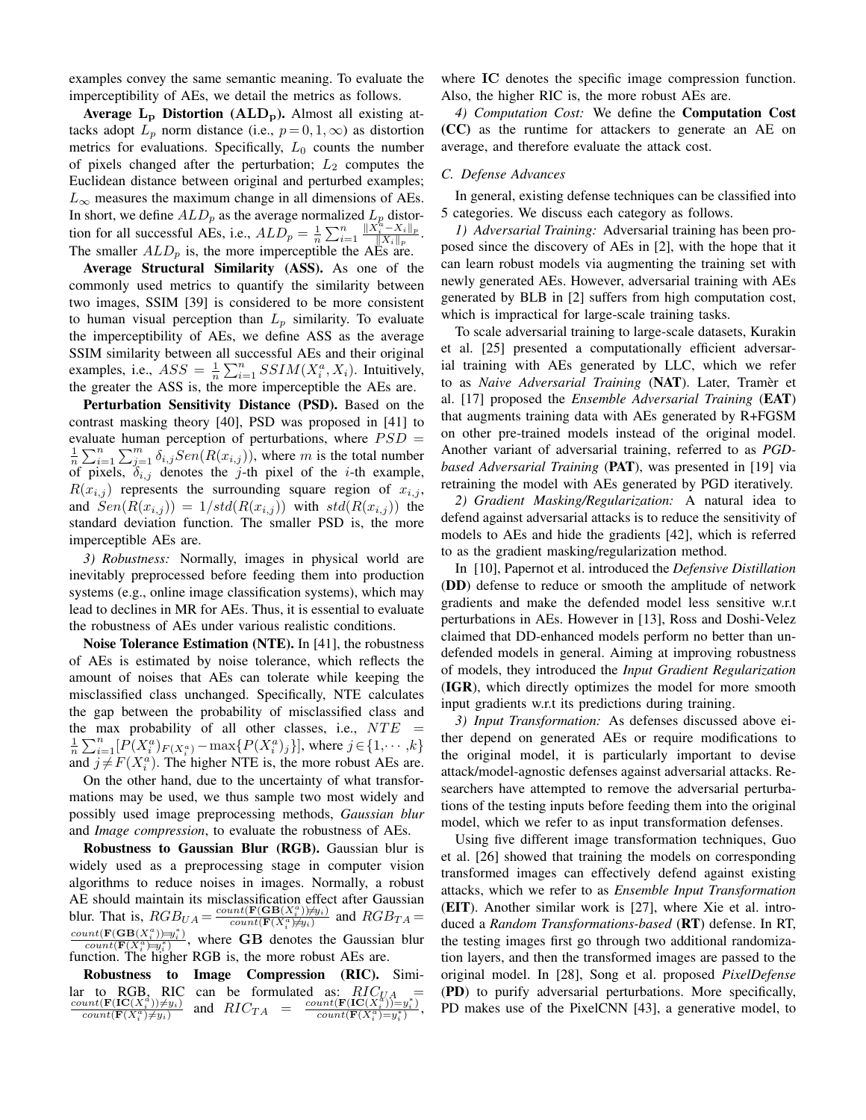examples convey the same semantic meaning. To evaluate the imperceptibility of AEs, we detail the metrics as follows.

Average  $L_p$  Distortion (ALD<sub>p</sub>). Almost all existing attacks adopt  $L_p$  norm distance (i.e.,  $p = 0, 1, \infty$ ) as distortion metrics for evaluations. Specifically,  $L_0$  counts the number of pixels changed after the perturbation;  $L_2$  computes the Euclidean distance between original and perturbed examples;  $L_{\infty}$  measures the maximum change in all dimensions of AEs. In short, we define  $ALD<sub>p</sub>$  as the average normalized  $L<sub>p</sub>$  distortion for all successful AEs, i.e.,  $ALD_p = \frac{1}{n} \sum_{i=1}^n$  $\frac{\|X_i^{\mathsf{G}} - X_i\|_p}{\|X_i\|_p}$ . The smaller  $ALD_p$  is, the more imperceptible the AEs are.

Average Structural Similarity (ASS). As one of the commonly used metrics to quantify the similarity between two images, SSIM [39] is considered to be more consistent to human visual perception than  $L_p$  similarity. To evaluate the imperceptibility of AEs, we define ASS as the average SSIM similarity between all successful AEs and their original examples, i.e.,  $ASS = \frac{1}{n} \sum_{i=1}^{n} SSIM(X_i^a, X_i)$ . Intuitively, the greater the ASS is, the more imperceptible the AEs are.

Perturbation Sensitivity Distance (PSD). Based on the contrast masking theory [40], PSD was proposed in [41] to evaluate human perception of perturbations, where  $PSD =$  $\frac{1}{n} \sum_{i=1}^{n} \sum_{j=1}^{m} \delta_{i,j} Sen(R(x_{i,j}))$ , where m is the total number of pixels,  $\delta_{i,j}$  denotes the j-th pixel of the *i*-th example,  $R(x_{i,j})$  represents the surrounding square region of  $x_{i,j}$ , and  $Sen(R(x_{i,j})) = 1/std(R(x_{i,j}))$  with  $std(R(x_{i,j}))$  the standard deviation function. The smaller PSD is, the more imperceptible AEs are.

*3) Robustness:* Normally, images in physical world are inevitably preprocessed before feeding them into production systems (e.g., online image classification systems), which may lead to declines in MR for AEs. Thus, it is essential to evaluate the robustness of AEs under various realistic conditions.

Noise Tolerance Estimation (NTE). In [41], the robustness of AEs is estimated by noise tolerance, which reflects the amount of noises that AEs can tolerate while keeping the misclassified class unchanged. Specifically, NTE calculates the gap between the probability of misclassified class and the max probability of all other classes, i.e.,  $NTE =$  $\frac{1}{n} \sum_{i=1}^{n} [P(X_i^a)_{F(X_i^a)} - \max\{P(X_i^a)_j\}],$  where  $j \in \{1, \dots, k\}$ and  $j \neq F(X_i^a)$ . The higher NTE is, the more robust AEs are.

On the other hand, due to the uncertainty of what transformations may be used, we thus sample two most widely and possibly used image preprocessing methods, *Gaussian blur* and *Image compression*, to evaluate the robustness of AEs.

Robustness to Gaussian Blur (RGB). Gaussian blur is widely used as a preprocessing stage in computer vision algorithms to reduce noises in images. Normally, a robust AE should maintain its misclassification effect after Gaussian blur. That is,  $RGB_{UA} = \frac{count(\mathbf{F}(\mathbf{GB}(X_i^a))\neq y_i)}{count(\mathbf{F}(X_i^a)\neq y_i)}$  and  $RGB_{TA} =$  $\frac{count(\mathbf{F}(\mathbf{GB}(X_i^a))=y_i^*)}{count(\mathbf{F}(X_i^a)=y_i^*)}$ , where GB denotes the Gaussian blur function. The higher RGB is, the more robust AEs are.

Robustness to Image Compression (RIC). Similar to RGB, RIC can be formulated as:  $\frac{RIC_{UA}}{RIC_{TA} = \frac{count(\mathbf{F}(\mathbf{IC}(X_i^a)) = y_i^*)}{count(\mathbf{F}(X_i^a) \neq y_i)}$  and  $RIC_{TA} = \frac{count(\mathbf{F}(\mathbf{IC}(X_i^a)) = y_i^*)}{count(\mathbf{F}(X_i^a) = y_i^*)}$ , , where IC denotes the specific image compression function. Also, the higher RIC is, the more robust AEs are.

*4) Computation Cost:* We define the Computation Cost (CC) as the runtime for attackers to generate an AE on average, and therefore evaluate the attack cost.

### *C. Defense Advances*

In general, existing defense techniques can be classified into 5 categories. We discuss each category as follows.

*1) Adversarial Training:* Adversarial training has been proposed since the discovery of AEs in [2], with the hope that it can learn robust models via augmenting the training set with newly generated AEs. However, adversarial training with AEs generated by BLB in [2] suffers from high computation cost, which is impractical for large-scale training tasks.

To scale adversarial training to large-scale datasets, Kurakin et al. [25] presented a computationally efficient adversarial training with AEs generated by LLC, which we refer to as *Naive Adversarial Training* (NAT). Later, Tramèr et al. [17] proposed the *Ensemble Adversarial Training* (EAT) that augments training data with AEs generated by R+FGSM on other pre-trained models instead of the original model. Another variant of adversarial training, referred to as *PGDbased Adversarial Training* (PAT), was presented in [19] via retraining the model with AEs generated by PGD iteratively.

*2) Gradient Masking/Regularization:* A natural idea to defend against adversarial attacks is to reduce the sensitivity of models to AEs and hide the gradients [42], which is referred to as the gradient masking/regularization method.

In [10], Papernot et al. introduced the *Defensive Distillation* (DD) defense to reduce or smooth the amplitude of network gradients and make the defended model less sensitive w.r.t perturbations in AEs. However in [13], Ross and Doshi-Velez claimed that DD-enhanced models perform no better than undefended models in general. Aiming at improving robustness of models, they introduced the *Input Gradient Regularization* (IGR), which directly optimizes the model for more smooth input gradients w.r.t its predictions during training.

*3) Input Transformation:* As defenses discussed above either depend on generated AEs or require modifications to the original model, it is particularly important to devise attack/model-agnostic defenses against adversarial attacks. Researchers have attempted to remove the adversarial perturbations of the testing inputs before feeding them into the original model, which we refer to as input transformation defenses.

Using five different image transformation techniques, Guo et al. [26] showed that training the models on corresponding transformed images can effectively defend against existing attacks, which we refer to as *Ensemble Input Transformation* (EIT). Another similar work is [27], where Xie et al. introduced a *Random Transformations-based* (RT) defense. In RT, the testing images first go through two additional randomization layers, and then the transformed images are passed to the original model. In [28], Song et al. proposed *PixelDefense* (PD) to purify adversarial perturbations. More specifically, PD makes use of the PixelCNN [43], a generative model, to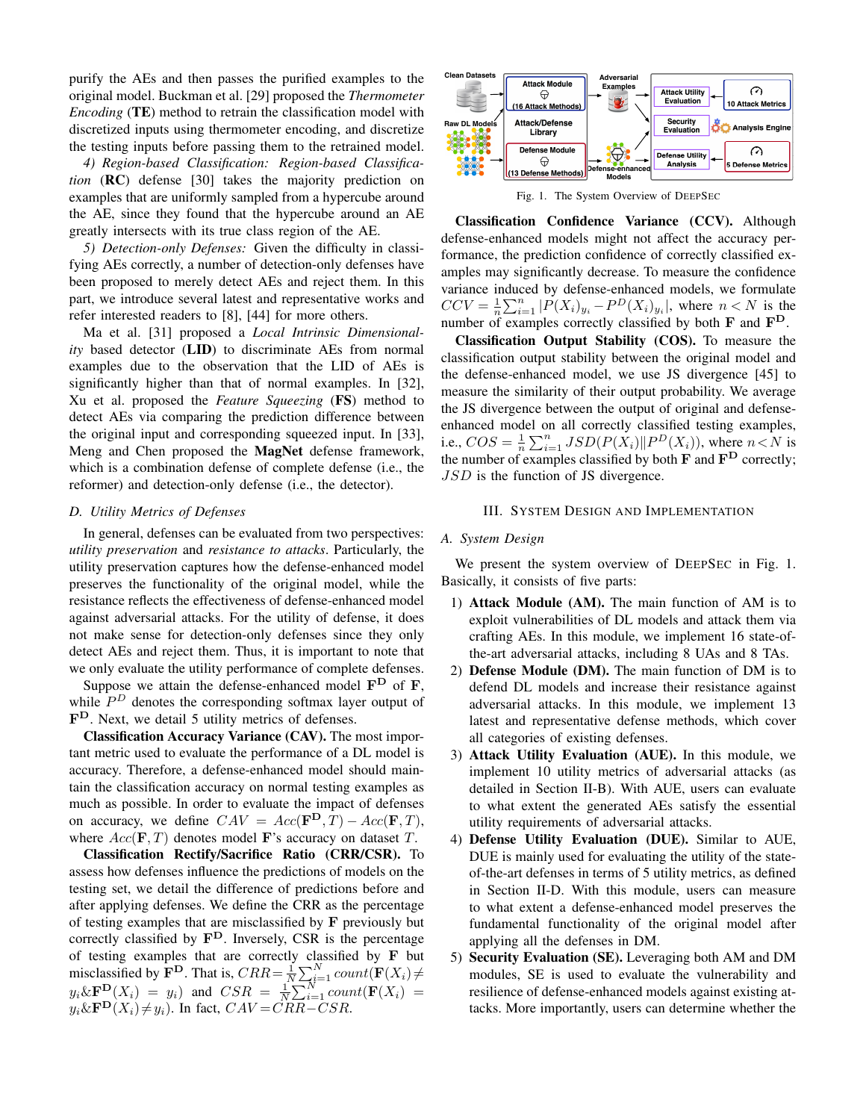purify the AEs and then passes the purified examples to the original model. Buckman et al. [29] proposed the *Thermometer Encoding* (TE) method to retrain the classification model with discretized inputs using thermometer encoding, and discretize the testing inputs before passing them to the retrained model.

*4) Region-based Classification: Region-based Classification* (RC) defense [30] takes the majority prediction on examples that are uniformly sampled from a hypercube around the AE, since they found that the hypercube around an AE greatly intersects with its true class region of the AE.

*5) Detection-only Defenses:* Given the difficulty in classifying AEs correctly, a number of detection-only defenses have been proposed to merely detect AEs and reject them. In this part, we introduce several latest and representative works and refer interested readers to [8], [44] for more others.

Ma et al. [31] proposed a *Local Intrinsic Dimensionality* based detector (LID) to discriminate AEs from normal examples due to the observation that the LID of AEs is significantly higher than that of normal examples. In [32], Xu et al. proposed the *Feature Squeezing* (FS) method to detect AEs via comparing the prediction difference between the original input and corresponding squeezed input. In [33], Meng and Chen proposed the MagNet defense framework, which is a combination defense of complete defense (i.e., the reformer) and detection-only defense (i.e., the detector).

### *D. Utility Metrics of Defenses*

In general, defenses can be evaluated from two perspectives: *utility preservation* and *resistance to attacks*. Particularly, the utility preservation captures how the defense-enhanced model preserves the functionality of the original model, while the resistance reflects the effectiveness of defense-enhanced model against adversarial attacks. For the utility of defense, it does not make sense for detection-only defenses since they only detect AEs and reject them. Thus, it is important to note that we only evaluate the utility performance of complete defenses.

Suppose we attain the defense-enhanced model  $\mathbf{F}^{\mathbf{D}}$  of  $\mathbf{F}$ , while  $P<sup>D</sup>$  denotes the corresponding softmax layer output of F<sup>D</sup>. Next, we detail 5 utility metrics of defenses.

Classification Accuracy Variance (CAV). The most important metric used to evaluate the performance of a DL model is accuracy. Therefore, a defense-enhanced model should maintain the classification accuracy on normal testing examples as much as possible. In order to evaluate the impact of defenses on accuracy, we define  $CAV = Acc(\mathbf{F}^{\mathbf{D}}, T) - Acc(\mathbf{F}, T)$ , where  $Acc(\mathbf{F}, T)$  denotes model **F**'s accuracy on dataset T.

Classification Rectify/Sacrifice Ratio (CRR/CSR). To assess how defenses influence the predictions of models on the testing set, we detail the difference of predictions before and after applying defenses. We define the CRR as the percentage of testing examples that are misclassified by  $\bf{F}$  previously but correctly classified by  $F<sup>D</sup>$ . Inversely, CSR is the percentage of testing examples that are correctly classified by F but misclassified by  $\mathbf{F}^{\mathbf{D}}$ . That is,  $CRR = \frac{1}{N} \sum_{i=1}^{N} count(\mathbf{F}(X_i) \neq \emptyset)$  $y_i \& \mathbf{F}^{\mathbf{D}}(X_i) = y_i$  and  $CSR = \frac{1}{N} \sum_{i=1}^{N} count(\mathbf{F}(X_i)) =$  $y_i$ & $\mathbf{F}^{\mathbf{D}}(X_i) \neq y_i$ ). In fact,  $CAV = \overrightarrow{C}RR - \overrightarrow{CSR}$ .



Fig. 1. The System Overview of DEEPSEC

Classification Confidence Variance (CCV). Although defense-enhanced models might not affect the accuracy performance, the prediction confidence of correctly classified examples may significantly decrease. To measure the confidence variance induced by defense-enhanced models, we formulate  $CCV = \frac{1}{n} \sum_{i=1}^{n} |P(X_i)_{y_i} - P^D(X_i)_{y_i}|$ , where  $n < N$  is the number of examples correctly classified by both  $F$  and  $F<sup>D</sup>$ .

Classification Output Stability (COS). To measure the classification output stability between the original model and the defense-enhanced model, we use JS divergence [45] to measure the similarity of their output probability. We average the JS divergence between the output of original and defenseenhanced model on all correctly classified testing examples, i.e.,  $COS = \frac{1}{n} \sum_{i=1}^{n} JSD(P(X_i) || P^D(X_i))$ , where  $n < N$  is the number of examples classified by both  $\mathbf F$  and  $\mathbf F^{\mathbf D}$  correctly; JSD is the function of JS divergence.

### III. SYSTEM DESIGN AND IMPLEMENTATION

#### *A. System Design*

We present the system overview of DEEPSEC in Fig. 1. Basically, it consists of five parts:

- 1) Attack Module (AM). The main function of AM is to exploit vulnerabilities of DL models and attack them via crafting AEs. In this module, we implement 16 state-ofthe-art adversarial attacks, including 8 UAs and 8 TAs.
- 2) Defense Module (DM). The main function of DM is to defend DL models and increase their resistance against adversarial attacks. In this module, we implement 13 latest and representative defense methods, which cover all categories of existing defenses.
- 3) Attack Utility Evaluation (AUE). In this module, we implement 10 utility metrics of adversarial attacks (as detailed in Section II-B). With AUE, users can evaluate to what extent the generated AEs satisfy the essential utility requirements of adversarial attacks.
- 4) Defense Utility Evaluation (DUE). Similar to AUE, DUE is mainly used for evaluating the utility of the stateof-the-art defenses in terms of 5 utility metrics, as defined in Section II-D. With this module, users can measure to what extent a defense-enhanced model preserves the fundamental functionality of the original model after applying all the defenses in DM.
- 5) Security Evaluation (SE). Leveraging both AM and DM modules, SE is used to evaluate the vulnerability and resilience of defense-enhanced models against existing attacks. More importantly, users can determine whether the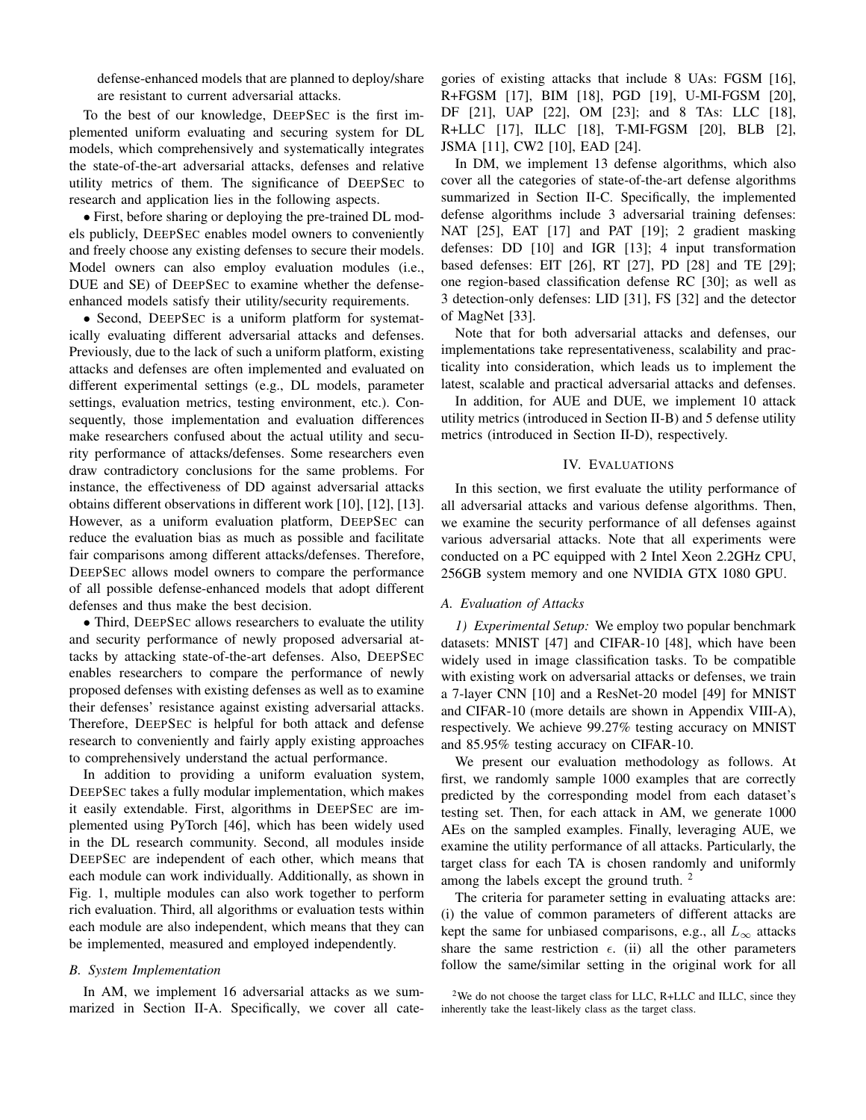defense-enhanced models that are planned to deploy/share are resistant to current adversarial attacks.

To the best of our knowledge, DEEPSEC is the first implemented uniform evaluating and securing system for DL models, which comprehensively and systematically integrates the state-of-the-art adversarial attacks, defenses and relative utility metrics of them. The significance of DEEPSEC to research and application lies in the following aspects.

• First, before sharing or deploying the pre-trained DL models publicly, DEEPSEC enables model owners to conveniently and freely choose any existing defenses to secure their models. Model owners can also employ evaluation modules (i.e., DUE and SE) of DEEPSEC to examine whether the defenseenhanced models satisfy their utility/security requirements.

• Second, DEEPSEC is a uniform platform for systematically evaluating different adversarial attacks and defenses. Previously, due to the lack of such a uniform platform, existing attacks and defenses are often implemented and evaluated on different experimental settings (e.g., DL models, parameter settings, evaluation metrics, testing environment, etc.). Consequently, those implementation and evaluation differences make researchers confused about the actual utility and security performance of attacks/defenses. Some researchers even draw contradictory conclusions for the same problems. For instance, the effectiveness of DD against adversarial attacks obtains different observations in different work [10], [12], [13]. However, as a uniform evaluation platform, DEEPSEC can reduce the evaluation bias as much as possible and facilitate fair comparisons among different attacks/defenses. Therefore, DEEPSEC allows model owners to compare the performance of all possible defense-enhanced models that adopt different defenses and thus make the best decision.

• Third, DEEPSEC allows researchers to evaluate the utility and security performance of newly proposed adversarial attacks by attacking state-of-the-art defenses. Also, DEEPSEC enables researchers to compare the performance of newly proposed defenses with existing defenses as well as to examine their defenses' resistance against existing adversarial attacks. Therefore, DEEPSEC is helpful for both attack and defense research to conveniently and fairly apply existing approaches to comprehensively understand the actual performance.

In addition to providing a uniform evaluation system, DEEPSEC takes a fully modular implementation, which makes it easily extendable. First, algorithms in DEEPSEC are implemented using PyTorch [46], which has been widely used in the DL research community. Second, all modules inside DEEPSEC are independent of each other, which means that each module can work individually. Additionally, as shown in Fig. 1, multiple modules can also work together to perform rich evaluation. Third, all algorithms or evaluation tests within each module are also independent, which means that they can be implemented, measured and employed independently.

# *B. System Implementation*

In AM, we implement 16 adversarial attacks as we summarized in Section II-A. Specifically, we cover all categories of existing attacks that include 8 UAs: FGSM [16], R+FGSM [17], BIM [18], PGD [19], U-MI-FGSM [20], DF [21], UAP [22], OM [23]; and 8 TAs: LLC [18], R+LLC [17], ILLC [18], T-MI-FGSM [20], BLB [2], JSMA [11], CW2 [10], EAD [24].

In DM, we implement 13 defense algorithms, which also cover all the categories of state-of-the-art defense algorithms summarized in Section II-C. Specifically, the implemented defense algorithms include 3 adversarial training defenses: NAT [25], EAT [17] and PAT [19]; 2 gradient masking defenses: DD [10] and IGR [13]; 4 input transformation based defenses: EIT [26], RT [27], PD [28] and TE [29]; one region-based classification defense RC [30]; as well as 3 detection-only defenses: LID [31], FS [32] and the detector of MagNet [33].

Note that for both adversarial attacks and defenses, our implementations take representativeness, scalability and practicality into consideration, which leads us to implement the latest, scalable and practical adversarial attacks and defenses.

In addition, for AUE and DUE, we implement 10 attack utility metrics (introduced in Section II-B) and 5 defense utility metrics (introduced in Section II-D), respectively.

### IV. EVALUATIONS

In this section, we first evaluate the utility performance of all adversarial attacks and various defense algorithms. Then, we examine the security performance of all defenses against various adversarial attacks. Note that all experiments were conducted on a PC equipped with 2 Intel Xeon 2.2GHz CPU, 256GB system memory and one NVIDIA GTX 1080 GPU.

# *A. Evaluation of Attacks*

*1) Experimental Setup:* We employ two popular benchmark datasets: MNIST [47] and CIFAR-10 [48], which have been widely used in image classification tasks. To be compatible with existing work on adversarial attacks or defenses, we train a 7-layer CNN [10] and a ResNet-20 model [49] for MNIST and CIFAR-10 (more details are shown in Appendix VIII-A), respectively. We achieve 99.27% testing accuracy on MNIST and 85.95% testing accuracy on CIFAR-10.

We present our evaluation methodology as follows. At first, we randomly sample 1000 examples that are correctly predicted by the corresponding model from each dataset's testing set. Then, for each attack in AM, we generate 1000 AEs on the sampled examples. Finally, leveraging AUE, we examine the utility performance of all attacks. Particularly, the target class for each TA is chosen randomly and uniformly among the labels except the ground truth.<sup>2</sup>

The criteria for parameter setting in evaluating attacks are: (i) the value of common parameters of different attacks are kept the same for unbiased comparisons, e.g., all  $L_{\infty}$  attacks share the same restriction  $\epsilon$ . (ii) all the other parameters follow the same/similar setting in the original work for all

<sup>&</sup>lt;sup>2</sup>We do not choose the target class for LLC, R+LLC and ILLC, since they inherently take the least-likely class as the target class.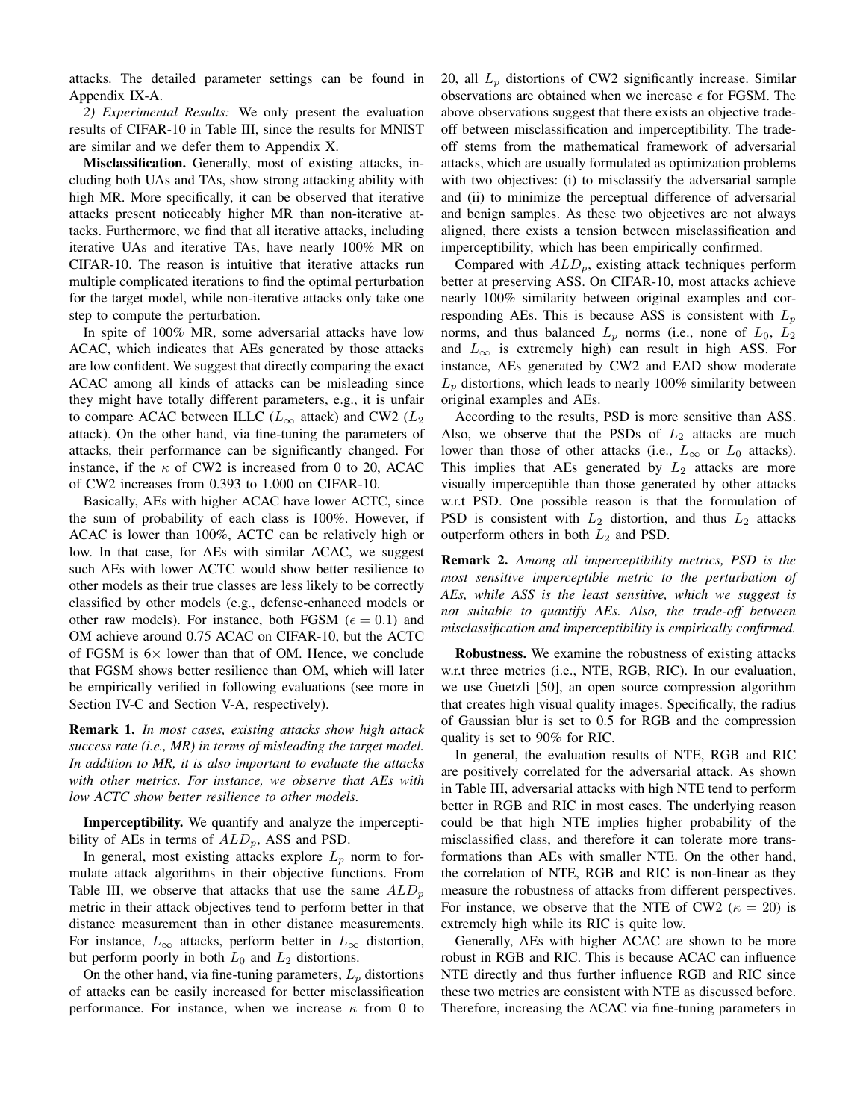attacks. The detailed parameter settings can be found in Appendix IX-A.

*2) Experimental Results:* We only present the evaluation results of CIFAR-10 in Table III, since the results for MNIST are similar and we defer them to Appendix X.

Misclassification. Generally, most of existing attacks, including both UAs and TAs, show strong attacking ability with high MR. More specifically, it can be observed that iterative attacks present noticeably higher MR than non-iterative attacks. Furthermore, we find that all iterative attacks, including iterative UAs and iterative TAs, have nearly 100% MR on CIFAR-10. The reason is intuitive that iterative attacks run multiple complicated iterations to find the optimal perturbation for the target model, while non-iterative attacks only take one step to compute the perturbation.

In spite of 100% MR, some adversarial attacks have low ACAC, which indicates that AEs generated by those attacks are low confident. We suggest that directly comparing the exact ACAC among all kinds of attacks can be misleading since they might have totally different parameters, e.g., it is unfair to compare ACAC between ILLC ( $L_{\infty}$  attack) and CW2 ( $L_2$ ) attack). On the other hand, via fine-tuning the parameters of attacks, their performance can be significantly changed. For instance, if the  $\kappa$  of CW2 is increased from 0 to 20, ACAC of CW2 increases from 0.393 to 1.000 on CIFAR-10.

Basically, AEs with higher ACAC have lower ACTC, since the sum of probability of each class is 100%. However, if ACAC is lower than 100%, ACTC can be relatively high or low. In that case, for AEs with similar ACAC, we suggest such AEs with lower ACTC would show better resilience to other models as their true classes are less likely to be correctly classified by other models (e.g., defense-enhanced models or other raw models). For instance, both FGSM ( $\epsilon = 0.1$ ) and OM achieve around 0.75 ACAC on CIFAR-10, but the ACTC of FGSM is  $6 \times$  lower than that of OM. Hence, we conclude that FGSM shows better resilience than OM, which will later be empirically verified in following evaluations (see more in Section IV-C and Section V-A, respectively).

Remark 1. *In most cases, existing attacks show high attack success rate (i.e., MR) in terms of misleading the target model. In addition to MR, it is also important to evaluate the attacks with other metrics. For instance, we observe that AEs with low ACTC show better resilience to other models.*

Imperceptibility. We quantify and analyze the imperceptibility of AEs in terms of  $ALD_p$ , ASS and PSD.

In general, most existing attacks explore  $L_p$  norm to formulate attack algorithms in their objective functions. From Table III, we observe that attacks that use the same  $ALD_p$ metric in their attack objectives tend to perform better in that distance measurement than in other distance measurements. For instance,  $L_{\infty}$  attacks, perform better in  $L_{\infty}$  distortion, but perform poorly in both  $L_0$  and  $L_2$  distortions.

On the other hand, via fine-tuning parameters,  $L_p$  distortions of attacks can be easily increased for better misclassification performance. For instance, when we increase  $\kappa$  from 0 to 20, all  $L_p$  distortions of CW2 significantly increase. Similar observations are obtained when we increase  $\epsilon$  for FGSM. The above observations suggest that there exists an objective tradeoff between misclassification and imperceptibility. The tradeoff stems from the mathematical framework of adversarial attacks, which are usually formulated as optimization problems with two objectives: (i) to misclassify the adversarial sample and (ii) to minimize the perceptual difference of adversarial and benign samples. As these two objectives are not always aligned, there exists a tension between misclassification and imperceptibility, which has been empirically confirmed.

Compared with  $ALD<sub>p</sub>$ , existing attack techniques perform better at preserving ASS. On CIFAR-10, most attacks achieve nearly 100% similarity between original examples and corresponding AEs. This is because ASS is consistent with  $L_p$ norms, and thus balanced  $L_p$  norms (i.e., none of  $L_0$ ,  $L_2$ and  $L_{\infty}$  is extremely high) can result in high ASS. For instance, AEs generated by CW2 and EAD show moderate  $L_p$  distortions, which leads to nearly 100% similarity between original examples and AEs.

According to the results, PSD is more sensitive than ASS. Also, we observe that the PSDs of  $L_2$  attacks are much lower than those of other attacks (i.e.,  $L_{\infty}$  or  $L_0$  attacks). This implies that AEs generated by  $L_2$  attacks are more visually imperceptible than those generated by other attacks w.r.t PSD. One possible reason is that the formulation of PSD is consistent with  $L_2$  distortion, and thus  $L_2$  attacks outperform others in both  $L_2$  and PSD.

Remark 2. *Among all imperceptibility metrics, PSD is the most sensitive imperceptible metric to the perturbation of AEs, while ASS is the least sensitive, which we suggest is not suitable to quantify AEs. Also, the trade-off between misclassification and imperceptibility is empirically confirmed.*

Robustness. We examine the robustness of existing attacks w.r.t three metrics (i.e., NTE, RGB, RIC). In our evaluation, we use Guetzli [50], an open source compression algorithm that creates high visual quality images. Specifically, the radius of Gaussian blur is set to 0.5 for RGB and the compression quality is set to 90% for RIC.

In general, the evaluation results of NTE, RGB and RIC are positively correlated for the adversarial attack. As shown in Table III, adversarial attacks with high NTE tend to perform better in RGB and RIC in most cases. The underlying reason could be that high NTE implies higher probability of the misclassified class, and therefore it can tolerate more transformations than AEs with smaller NTE. On the other hand, the correlation of NTE, RGB and RIC is non-linear as they measure the robustness of attacks from different perspectives. For instance, we observe that the NTE of CW2 ( $\kappa = 20$ ) is extremely high while its RIC is quite low.

Generally, AEs with higher ACAC are shown to be more robust in RGB and RIC. This is because ACAC can influence NTE directly and thus further influence RGB and RIC since these two metrics are consistent with NTE as discussed before. Therefore, increasing the ACAC via fine-tuning parameters in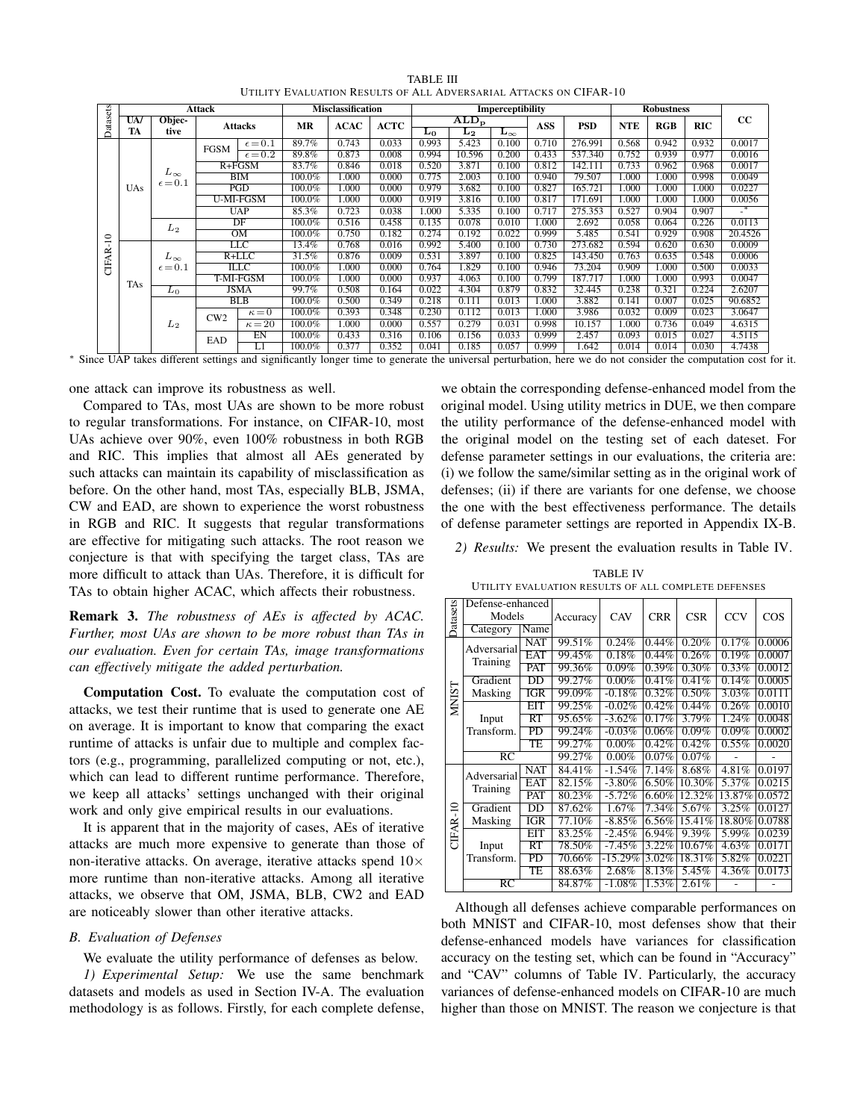| TABLE III                                                         |
|-------------------------------------------------------------------|
| UTILITY EVALUATION RESULTS OF ALL ADVERSARIAL ATTACKS ON CIFAR-10 |

|                |            |                                  | Attack      |                     |           | <b>Misclassification</b> |             |       |                                                          | Imperceptibility |            |            |            | <b>Robustness</b> |            |             |       |
|----------------|------------|----------------------------------|-------------|---------------------|-----------|--------------------------|-------------|-------|----------------------------------------------------------|------------------|------------|------------|------------|-------------------|------------|-------------|-------|
| Datasets       | UA/<br>TA  | Objec-<br>tive                   |             | <b>Attacks</b>      | MR        | <b>ACAC</b>              | <b>ACTC</b> | Lο    | $\overline{\mathrm{ALD}}_{\mathrm{n}}$<br>L <sub>2</sub> | $L_{\infty}$     | <b>ASS</b> | <b>PSD</b> | <b>NTE</b> | RGB               | <b>RIC</b> | $_{\rm CC}$ |       |
|                |            |                                  |             | $\epsilon = 0.1$    | 89.7%     | 0.743                    | 0.033       | 0.993 | 5.423                                                    | 0.100            | 0.710      | 276.991    | 0.568      | 0.942             | 0.932      | 0.0017      |       |
|                |            |                                  | <b>FGSM</b> | $\epsilon = 0.2$    | 89.8%     | 0.873                    | 0.008       | 0.994 | 10.596                                                   | 0.200            | 0.433      | 537.340    | 0.752      | 0.939             | 0.977      | 0.0016      |       |
|                | <b>UAs</b> | $L_{\infty}$<br>$\epsilon = 0.1$ | $R + FGSM$  |                     | 83.7%     | 0.846                    | 0.018       | 0.520 | 3.871                                                    | 0.100            | 0.812      | 142.111    | 0.733      | 0.962             | 0.968      | 0.0017      |       |
|                |            |                                  |             | BIM                 | 100.0%    | 1.000                    | 0.000       | 0.775 | 2.003                                                    | 0.100            | 0.940      | 79.507     | 1.000      | 1.000             | 0.998      | 0.0049      |       |
|                |            |                                  |             |                     |           | PGD                      | 100.0%      | 1.000 | 0.000                                                    | 0.979            | 3.682      | 0.100      | 0.827      | 165.721           | 1.000      | 1.000       | 1.000 |
|                |            |                                  |             | <b>U-MI-FGSM</b>    | 100.0%    | 1.000                    | 0.000       | 0.919 | 3.816                                                    | 0.100            | 0.817      | 171.691    | 1.000      | 1.000             | 1.000      | 0.0056      |       |
|                |            |                                  |             | <b>UAP</b>          | 85.3%     | 0.723                    | 0.038       | .000  | 5.335                                                    | 0.100            | 0.717      | 275.353    | 0.527      | 0.904             | 0.907      | ా           |       |
|                |            | L <sub>2</sub>                   |             | $\overline{\rm DF}$ | $100.0\%$ | 0.516                    | 0.458       | 0.135 | 0.078                                                    | 0.010            | 1.000      | 2.692      | 0.058      | 0.064             | 0.226      | 0.0113      |       |
| $\Xi$          |            |                                  |             | OM                  | 100.0%    | 0.750                    | 0.182       | 0.274 | 0.192                                                    | 0.022            | 0.999      | 5.485      | 0.541      | 0.929             | 0.908      | 20.4526     |       |
| $\blacksquare$ |            |                                  |             | LLC                 | 13.4%     | 0.768                    | 0.016       | 0.992 | 5.400                                                    | 0.100            | 0.730      | 273.682    | 0.594      | 0.620             | 0.630      | 0.0009      |       |
|                |            | $L_{\infty}$                     |             | $R+LLC$             | 31.5%     | 0.876                    | 0.009       | 0.531 | 3.897                                                    | 0.100            | 0.825      | 143.450    | 0.763      | 0.635             | 0.548      | 0.0006      |       |
| CIFAR          |            | $\epsilon = 0.1$                 |             | ILLC                | 100.0%    | 1.000                    | 0.000       | 0.764 | 1.829                                                    | 0.100            | 0.946      | 73.204     | 0.909      | 1.000             | 0.500      | 0.0033      |       |
|                | <b>TAs</b> |                                  |             | T-MI-FGSM           | $100.0\%$ | 1.000                    | 0.000       | 0.937 | 4.063                                                    | 0.100            | 0.799      | 187.717    | 1.000      | 1.000             | 0.993      | 0.0047      |       |
|                |            | $L_0$                            |             | <b>JSMA</b>         | 99.7%     | 0.508                    | 0.164       | 0.022 | 4.304                                                    | 0.879            | 0.832      | 32.445     | 0.238      | 0.321             | 0.224      | 2.6207      |       |
|                |            |                                  |             | <b>BLB</b>          | 100.0%    | 0.500                    | 0.349       | 0.218 | 0.111                                                    | 0.013            | 1.000      | 3.882      | 0.141      | 0.007             | 0.025      | 90.6852     |       |
|                |            |                                  | CW2         | $\kappa = 0$        | $100.0\%$ | 0.393                    | 0.348       | 0.230 | 0.112                                                    | 0.013            | 1.000      | 3.986      | 0.032      | 0.009             | 0.023      | 3.0647      |       |
|                |            | L <sub>2</sub>                   |             | $\kappa = 20$       | 100.0%    | 1.000                    | 0.000       | 0.557 | 0.279                                                    | 0.031            | 0.998      | 10.157     | 1.000      | 0.736             | 0.049      | 4.6315      |       |
|                |            |                                  | EAD         | EN                  | 100.0%    | 0.433                    | 0.316       | 0.106 | 0.156                                                    | 0.033            | 0.999      | 2.457      | 0.093      | 0.015             | 0.027      | 4.5115      |       |
|                |            |                                  |             | L1                  | 100.0%    | 0.377                    | 0.352       | 0.041 | 0.185                                                    | 0.057            | 0.999      | 1.642      | 0.014      | 0.014             | 0.030      | 4.7438      |       |

<sup>∗</sup> Since UAP takes different settings and significantly longer time to generate the universal perturbation, here we do not consider the computation cost for it.

one attack can improve its robustness as well.

Compared to TAs, most UAs are shown to be more robust to regular transformations. For instance, on CIFAR-10, most UAs achieve over 90%, even 100% robustness in both RGB and RIC. This implies that almost all AEs generated by such attacks can maintain its capability of misclassification as before. On the other hand, most TAs, especially BLB, JSMA, CW and EAD, are shown to experience the worst robustness in RGB and RIC. It suggests that regular transformations are effective for mitigating such attacks. The root reason we conjecture is that with specifying the target class, TAs are more difficult to attack than UAs. Therefore, it is difficult for TAs to obtain higher ACAC, which affects their robustness.

Remark 3. *The robustness of AEs is affected by ACAC. Further, most UAs are shown to be more robust than TAs in our evaluation. Even for certain TAs, image transformations can effectively mitigate the added perturbation.*

Computation Cost. To evaluate the computation cost of attacks, we test their runtime that is used to generate one AE on average. It is important to know that comparing the exact runtime of attacks is unfair due to multiple and complex factors (e.g., programming, parallelized computing or not, etc.), which can lead to different runtime performance. Therefore, we keep all attacks' settings unchanged with their original work and only give empirical results in our evaluations.

It is apparent that in the majority of cases, AEs of iterative attacks are much more expensive to generate than those of non-iterative attacks. On average, iterative attacks spend  $10\times$ more runtime than non-iterative attacks. Among all iterative attacks, we observe that OM, JSMA, BLB, CW2 and EAD are noticeably slower than other iterative attacks.

# *B. Evaluation of Defenses*

We evaluate the utility performance of defenses as below. *1) Experimental Setup:* We use the same benchmark datasets and models as used in Section IV-A. The evaluation methodology is as follows. Firstly, for each complete defense,

we obtain the corresponding defense-enhanced model from the original model. Using utility metrics in DUE, we then compare the utility performance of the defense-enhanced model with the original model on the testing set of each dateset. For defense parameter settings in our evaluations, the criteria are: (i) we follow the same/similar setting as in the original work of defenses; (ii) if there are variants for one defense, we choose the one with the best effectiveness performance. The details of defense parameter settings are reported in Appendix IX-B.

*2) Results:* We present the evaluation results in Table IV.

|                 | UTILITY EVALUATION RESULTS OF ALL COMPLETE DEFENSES |                         |          |           |            |            |            |        |  |  |
|-----------------|-----------------------------------------------------|-------------------------|----------|-----------|------------|------------|------------|--------|--|--|
|                 | Defense-enhanced                                    |                         |          |           |            |            |            |        |  |  |
| <b>Datasets</b> | Models                                              |                         | Accuracy | CAV       | <b>CRR</b> | <b>CSR</b> | <b>CCV</b> | $\cos$ |  |  |
|                 | Category                                            | Name                    |          |           |            |            |            |        |  |  |
|                 | Adversarial                                         | <b>NAT</b>              | 99.51%   | 0.24%     | 0.44%      | 0.20%      | 0.17%      | 0.0006 |  |  |
|                 | Training                                            | EAT                     | 99.45%   | 0.18%     | 0.44%      | 0.26%      | 0.19%      | 0.0007 |  |  |
|                 |                                                     | PAT                     | 99.36%   | $0.09\%$  | 0.39%      | 0.30%      | 0.33%      | 0.0012 |  |  |
|                 | Gradient                                            | $\overline{DD}$         | 99.27%   | $0.00\%$  | 0.41%      | 0.41%      | 0.14%      | 0.0005 |  |  |
|                 | Masking                                             | <b>IGR</b>              | 99.09%   | $-0.18%$  | 0.32%      | 0.50%      | 3.03%      | 0.0111 |  |  |
| <b>NNIST</b>    |                                                     | <b>EIT</b>              | 99.25%   | $-0.02\%$ | 0.42%      | $0.44\%$   | 0.26%      | 0.0010 |  |  |
|                 | Input                                               | RT                      | 95.65%   | $-3.62%$  | 0.17%      | 3.79%      | 1.24%      | 0.0048 |  |  |
|                 | Transform.                                          | $\overline{\text{PD}}$  | 99.24%   | $-0.03%$  | 0.06%      | 0.09%      | 0.09%      | 0.0002 |  |  |
|                 |                                                     | TE                      | 99.27%   | $0.00\%$  | 0.42%      | 0.42%      | $0.55\%$   | 0.0020 |  |  |
|                 | RC                                                  |                         | 99.27%   | $0.00\%$  | 0.07%      | 0.07%      |            |        |  |  |
|                 | Adversarial                                         | <b>NAT</b>              | 84.41%   | $-1.54%$  | 7.14%      | 8.68%      | 4.81%      | 0.0197 |  |  |
|                 | Training                                            | EAT                     | 82.15%   | $-3.80\%$ | 6.50%      | 10.30%     | 5.37%      | 0.0215 |  |  |
|                 |                                                     | PAT                     | 80.23%   | $-5.72%$  | 6.60%      | 12.32%     | 13.87%     | 0.0572 |  |  |
|                 | Gradient                                            | DD                      | 87.62%   | 1.67%     | 7.34%      | 5.67%      | 3.25%      | 0.0127 |  |  |
|                 | Masking                                             | <b>IGR</b>              | 77.10%   | $-8.85\%$ | 6.56%      | 15.41%     | 18.80%     | 0.0788 |  |  |
| CIFAR-10        |                                                     | $\overline{\text{EIT}}$ | 83.25%   | $-2.45%$  | 6.94%      | $9.39\%$   | $5.99\%$   | 0.0239 |  |  |
|                 | Input                                               | $\overline{\text{RT}}$  | 78.50%   | $-7.45%$  | 3.22%      | 10.67%     | 4.63%      | 0.0171 |  |  |
|                 | Transform.                                          | PD                      | 70.66%   | -15.29%   | $3.02\%$   | 18.31%     | 5.82%      | 0.0221 |  |  |
|                 |                                                     | TE                      | 88.63%   | 2.68%     | 8.13%      | 5.45%      | 4.36%      | 0.0173 |  |  |
|                 | $_{\rm RC}$                                         |                         | 84.87%   | $-1.08\%$ | 1.53%      | 2.61%      |            |        |  |  |

TABLE IV UTILITY EVALUATION RESULTS OF ALL COMPLETE DEFENSES

Although all defenses achieve comparable performances on both MNIST and CIFAR-10, most defenses show that their defense-enhanced models have variances for classification accuracy on the testing set, which can be found in "Accuracy" and "CAV" columns of Table IV. Particularly, the accuracy variances of defense-enhanced models on CIFAR-10 are much higher than those on MNIST. The reason we conjecture is that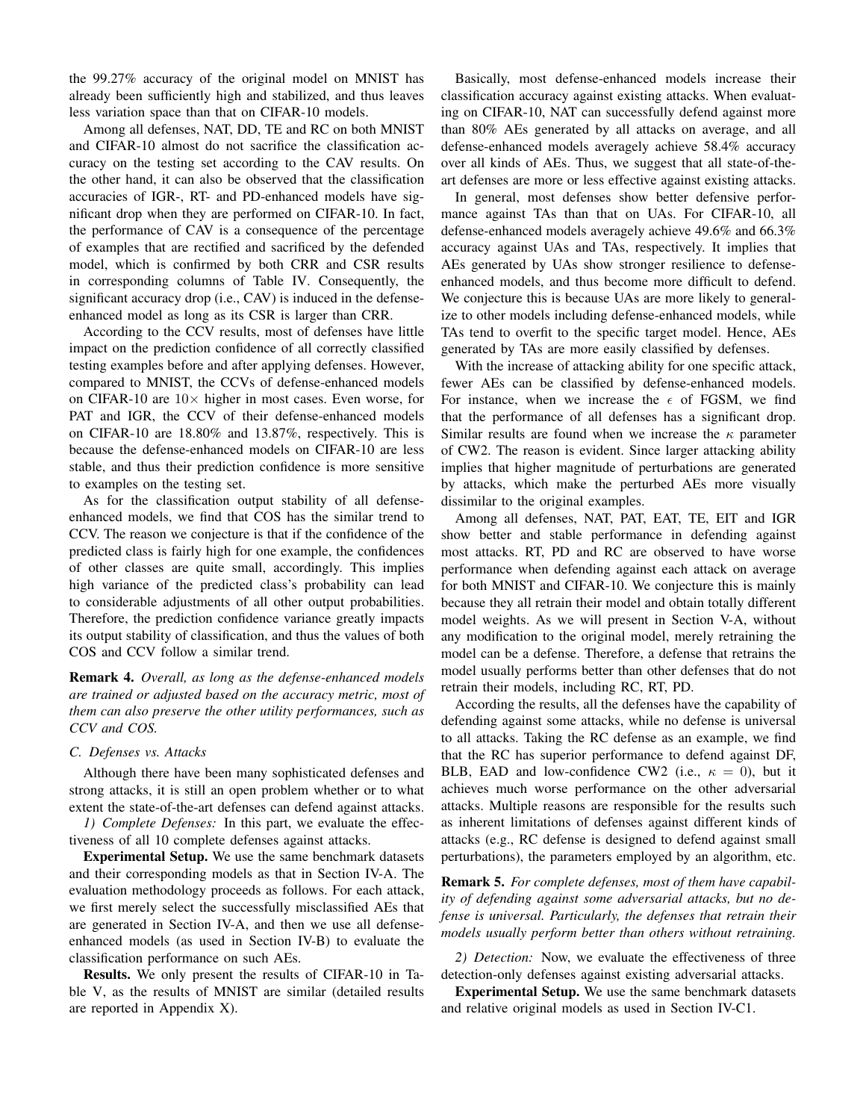the 99.27% accuracy of the original model on MNIST has already been sufficiently high and stabilized, and thus leaves less variation space than that on CIFAR-10 models.

Among all defenses, NAT, DD, TE and RC on both MNIST and CIFAR-10 almost do not sacrifice the classification accuracy on the testing set according to the CAV results. On the other hand, it can also be observed that the classification accuracies of IGR-, RT- and PD-enhanced models have significant drop when they are performed on CIFAR-10. In fact, the performance of CAV is a consequence of the percentage of examples that are rectified and sacrificed by the defended model, which is confirmed by both CRR and CSR results in corresponding columns of Table IV. Consequently, the significant accuracy drop (i.e., CAV) is induced in the defenseenhanced model as long as its CSR is larger than CRR.

According to the CCV results, most of defenses have little impact on the prediction confidence of all correctly classified testing examples before and after applying defenses. However, compared to MNIST, the CCVs of defense-enhanced models on CIFAR-10 are  $10\times$  higher in most cases. Even worse, for PAT and IGR, the CCV of their defense-enhanced models on CIFAR-10 are 18.80% and 13.87%, respectively. This is because the defense-enhanced models on CIFAR-10 are less stable, and thus their prediction confidence is more sensitive to examples on the testing set.

As for the classification output stability of all defenseenhanced models, we find that COS has the similar trend to CCV. The reason we conjecture is that if the confidence of the predicted class is fairly high for one example, the confidences of other classes are quite small, accordingly. This implies high variance of the predicted class's probability can lead to considerable adjustments of all other output probabilities. Therefore, the prediction confidence variance greatly impacts its output stability of classification, and thus the values of both COS and CCV follow a similar trend.

Remark 4. *Overall, as long as the defense-enhanced models are trained or adjusted based on the accuracy metric, most of them can also preserve the other utility performances, such as CCV and COS.*

#### *C. Defenses vs. Attacks*

Although there have been many sophisticated defenses and strong attacks, it is still an open problem whether or to what extent the state-of-the-art defenses can defend against attacks.

*1) Complete Defenses:* In this part, we evaluate the effectiveness of all 10 complete defenses against attacks.

Experimental Setup. We use the same benchmark datasets and their corresponding models as that in Section IV-A. The evaluation methodology proceeds as follows. For each attack, we first merely select the successfully misclassified AEs that are generated in Section IV-A, and then we use all defenseenhanced models (as used in Section IV-B) to evaluate the classification performance on such AEs.

Results. We only present the results of CIFAR-10 in Table V, as the results of MNIST are similar (detailed results are reported in Appendix X).

Basically, most defense-enhanced models increase their classification accuracy against existing attacks. When evaluating on CIFAR-10, NAT can successfully defend against more than 80% AEs generated by all attacks on average, and all defense-enhanced models averagely achieve 58.4% accuracy over all kinds of AEs. Thus, we suggest that all state-of-theart defenses are more or less effective against existing attacks.

In general, most defenses show better defensive performance against TAs than that on UAs. For CIFAR-10, all defense-enhanced models averagely achieve 49.6% and 66.3% accuracy against UAs and TAs, respectively. It implies that AEs generated by UAs show stronger resilience to defenseenhanced models, and thus become more difficult to defend. We conjecture this is because UAs are more likely to generalize to other models including defense-enhanced models, while TAs tend to overfit to the specific target model. Hence, AEs generated by TAs are more easily classified by defenses.

With the increase of attacking ability for one specific attack, fewer AEs can be classified by defense-enhanced models. For instance, when we increase the  $\epsilon$  of FGSM, we find that the performance of all defenses has a significant drop. Similar results are found when we increase the  $\kappa$  parameter of CW2. The reason is evident. Since larger attacking ability implies that higher magnitude of perturbations are generated by attacks, which make the perturbed AEs more visually dissimilar to the original examples.

Among all defenses, NAT, PAT, EAT, TE, EIT and IGR show better and stable performance in defending against most attacks. RT, PD and RC are observed to have worse performance when defending against each attack on average for both MNIST and CIFAR-10. We conjecture this is mainly because they all retrain their model and obtain totally different model weights. As we will present in Section V-A, without any modification to the original model, merely retraining the model can be a defense. Therefore, a defense that retrains the model usually performs better than other defenses that do not retrain their models, including RC, RT, PD.

According the results, all the defenses have the capability of defending against some attacks, while no defense is universal to all attacks. Taking the RC defense as an example, we find that the RC has superior performance to defend against DF, BLB, EAD and low-confidence CW2 (i.e.,  $\kappa = 0$ ), but it achieves much worse performance on the other adversarial attacks. Multiple reasons are responsible for the results such as inherent limitations of defenses against different kinds of attacks (e.g., RC defense is designed to defend against small perturbations), the parameters employed by an algorithm, etc.

Remark 5. *For complete defenses, most of them have capability of defending against some adversarial attacks, but no defense is universal. Particularly, the defenses that retrain their models usually perform better than others without retraining.*

*2) Detection:* Now, we evaluate the effectiveness of three detection-only defenses against existing adversarial attacks.

Experimental Setup. We use the same benchmark datasets and relative original models as used in Section IV-C1.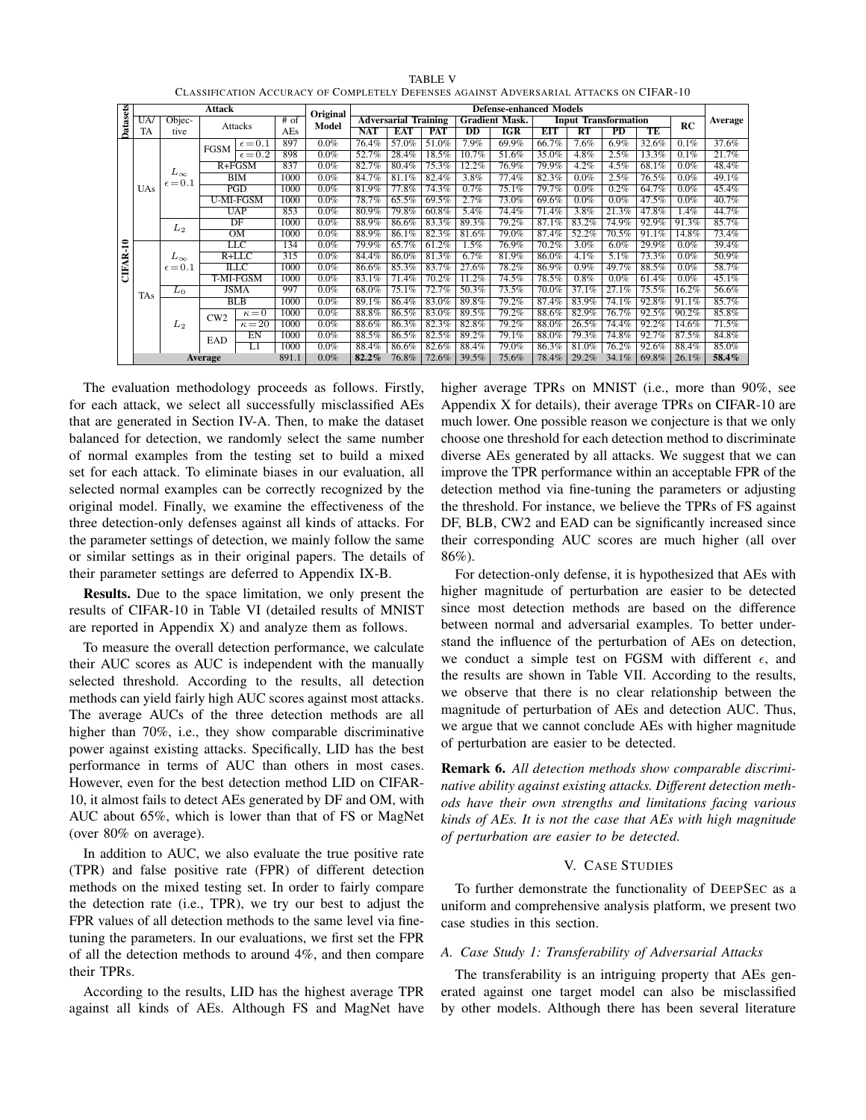|          |            |                                  | <b>Attack</b> |                  |       | Original |            |                             |            |                 | <b>Defense-enhanced Models</b> |            |                     |                             |       |         |         |
|----------|------------|----------------------------------|---------------|------------------|-------|----------|------------|-----------------------------|------------|-----------------|--------------------------------|------------|---------------------|-----------------------------|-------|---------|---------|
|          | UA/        | Objec-                           |               | Attacks          |       | Model    |            | <b>Adversarial Training</b> |            |                 | <b>Gradient Mask.</b>          |            |                     | <b>Input Transformation</b> |       | RC      | Average |
| Datasets | TA         | tive                             |               |                  | AEs   |          | <b>NAT</b> | <b>EAT</b>                  | <b>PAT</b> | $\overline{DD}$ | <b>IGR</b>                     | <b>EIT</b> | RT                  | $\overline{PD}$             | TE    |         |         |
|          |            |                                  | <b>FGSM</b>   | $\epsilon = 0.1$ | 897   | $0.0\%$  | 76.4%      | 57.0%                       | 51.0%      | 7.9%            | 69.9%                          | 66.7%      | 7.6%                | $6.9\%$                     | 32.6% | 0.1%    | 37.6%   |
|          |            |                                  |               | $\epsilon = 0.2$ | 898   | $0.0\%$  | 52.7%      | 28.4%                       | $18.5\%$   | 10.7%           | 51.6%                          | 35.0%      | $4.8\%$             | 2.5%                        | 13.3% | 0.1%    | 21.7%   |
|          |            |                                  |               | $R + FGSM$       | 837   | $0.0\%$  | 82.7%      | 80.4%                       | 75.3%      | 12.2%           | 76.9%                          | 79.9%      | 4.2%                | $4.5\%$                     | 68.1% | 0.0%    | 48.4%   |
|          |            | $L_{\infty}$<br>$\epsilon = 0.1$ |               | <b>BIM</b>       | 1000  | $0.0\%$  | 84.7%      | 81.1%                       | 82.4%      | 3.8%            | 77.4%                          | 82.3%      | $0.0\%$             | 2.5%                        | 76.5% | 0.0%    | 49.1%   |
|          | UAs        |                                  |               | PGD              | 1000  | $0.0\%$  | 81.9%      | 77.8%                       | 74.3%      | 0.7%            | 75.1%                          | 79.7%      | $0.0\%$             | 0.2%                        | 64.7% | $0.0\%$ | 45.4%   |
|          |            |                                  |               | <b>U-MI-FGSM</b> | 1000  | $0.0\%$  | 78.7%      | 65.5%                       | 69.5%      | 2.7%            | 73.0%                          | 69.6%      | $0.0\%$             | $0.0\%$                     | 47.5% | $0.0\%$ | 40.7%   |
|          |            |                                  |               | <b>UAP</b>       | 853   | $0.0\%$  | 80.9%      | 79.8%                       | 60.8%      | 5.4%            | 74.4%                          | 71.4%      | $3.8\%$             | 21.3%                       | 47.8% | 1.4%    | 44.7%   |
|          |            | L <sub>2</sub>                   |               | DF               | 1000  | $0.0\%$  | 88.9%      | $86.6\%$                    | 83.3%      | 89.3%           | 79.2%                          | 87.1%      | 83.2%               | 74.9%                       | 92.9% | 91.3%   | 85.7%   |
|          |            |                                  |               | OM               | 1000  | $0.0\%$  | 88.9%      | 86.1%                       | 82.3%      | 81.6%           | 79.0%                          | 87.4%      | 52.2%               | 70.5%                       | 91.1% | 14.8%   | 73.4%   |
| CIFAR-10 |            |                                  |               | $_{LLC}$         | 134   | $0.0\%$  | 79.9%      | 65.7%                       | 61.2%      | $1.5\%$         | 76.9%                          | 70.2%      | $3.0\%$             | $6.0\%$                     | 29.9% | $0.0\%$ | 39.4%   |
|          |            | $L_{\infty}$                     |               | $R+LLC$          | 315   | $0.0\%$  | 84.4%      | 86.0%                       | 81.3%      | 6.7%            | 81.9%                          | 86.0%      | $4.1\%$             | 5.1%                        | 73.3% | $0.0\%$ | 50.9%   |
|          |            | $\epsilon = 0.1$                 |               | <b>ILLC</b>      | 1000  | $0.0\%$  | 86.6%      | 85.3%                       | 83.7%      | 27.6%           | 78.2%                          | 86.9%      | $0.9\%$             | 49.7%                       | 88.5% | $0.0\%$ | 58.7%   |
|          |            |                                  |               | <b>T-MI-FGSM</b> | 1000  | $0.0\%$  | 83.1%      | 71.4%                       | 70.2%      | 11.2%           | 74.5%                          | 78.5%      | $0.8\%$             | $0.0\%$                     | 61.4% | 0.0%    | 45.1%   |
|          | <b>TAs</b> | L٥                               |               | <b>JSMA</b>      | 997   | $0.0\%$  | 68.0%      | 75.1%                       | 72.7%      | 50.3%           | 73.5%                          | 70.0%      | 37.1%               | 27.1%                       | 75.5% | 16.2%   | 56.6%   |
|          |            |                                  |               | <b>BLB</b>       | 1000  | $0.0\%$  | 89.1%      | 86.4%                       | 83.0%      | 89.8%           | 79.2%                          | 87.4%      | 83.9%               | 74.1%                       | 92.8% | 91.1%   | 85.7%   |
|          |            | L <sub>2</sub>                   | CW2           | $\kappa = 0$     | 1000  | $0.0\%$  | 88.8%      | 86.5%                       | 83.0%      | 89.5%           | 79.2%                          | 88.6%      | 82.9%               | 76.7%                       | 92.5% | 90.2%   | 85.8%   |
|          |            |                                  |               | $\kappa = 20$    | 1000  | $0.0\%$  | 88.6%      | 86.3%                       | 82.3%      | 82.8%           | 79.2%                          | 88.0%      | 26.5%               | 74.4%                       | 92.2% | 14.6%   | 71.5%   |
|          |            |                                  | EAD           | EN               | 1000  | $0.0\%$  | 88.5%      | 86.5%                       | 82.5%      | 89.2%           | 79.1%                          | 88.0%      | 79.3%               | 74.8%                       | 92.7% | 87.5%   | 84.8%   |
|          |            |                                  |               | L1               | 1000  | $0.0\%$  | 88.4%      | 86.6%                       | 82.6%      | 88.4%           | 79.0%                          | 86.3%      | $81.\overline{0\%}$ | 76.2%                       | 92.6% | 88.4%   | 85.0%   |
|          |            |                                  | Average       |                  | 891.1 | $0.0\%$  | $82.2\%$   | 76.8%                       | 72.6%      | 39.5%           | 75.6%                          | 78.4%      | 29.2%               | $34.1\%$                    | 69.8% | 26.1%   | 58.4%   |

TABLE V CLASSIFICATION ACCURACY OF COMPLETELY DEFENSES AGAINST ADVERSARIAL ATTACKS ON CIFAR-10

The evaluation methodology proceeds as follows. Firstly, for each attack, we select all successfully misclassified AEs that are generated in Section IV-A. Then, to make the dataset balanced for detection, we randomly select the same number of normal examples from the testing set to build a mixed set for each attack. To eliminate biases in our evaluation, all selected normal examples can be correctly recognized by the original model. Finally, we examine the effectiveness of the three detection-only defenses against all kinds of attacks. For the parameter settings of detection, we mainly follow the same or similar settings as in their original papers. The details of their parameter settings are deferred to Appendix IX-B.

Results. Due to the space limitation, we only present the results of CIFAR-10 in Table VI (detailed results of MNIST are reported in Appendix X) and analyze them as follows.

To measure the overall detection performance, we calculate their AUC scores as AUC is independent with the manually selected threshold. According to the results, all detection methods can yield fairly high AUC scores against most attacks. The average AUCs of the three detection methods are all higher than 70%, i.e., they show comparable discriminative power against existing attacks. Specifically, LID has the best performance in terms of AUC than others in most cases. However, even for the best detection method LID on CIFAR-10, it almost fails to detect AEs generated by DF and OM, with AUC about 65%, which is lower than that of FS or MagNet (over 80% on average).

In addition to AUC, we also evaluate the true positive rate (TPR) and false positive rate (FPR) of different detection methods on the mixed testing set. In order to fairly compare the detection rate (i.e., TPR), we try our best to adjust the FPR values of all detection methods to the same level via finetuning the parameters. In our evaluations, we first set the FPR of all the detection methods to around 4%, and then compare their TPRs.

According to the results, LID has the highest average TPR against all kinds of AEs. Although FS and MagNet have higher average TPRs on MNIST (i.e., more than 90%, see Appendix X for details), their average TPRs on CIFAR-10 are much lower. One possible reason we conjecture is that we only choose one threshold for each detection method to discriminate diverse AEs generated by all attacks. We suggest that we can improve the TPR performance within an acceptable FPR of the detection method via fine-tuning the parameters or adjusting the threshold. For instance, we believe the TPRs of FS against DF, BLB, CW2 and EAD can be significantly increased since their corresponding AUC scores are much higher (all over 86%).

For detection-only defense, it is hypothesized that AEs with higher magnitude of perturbation are easier to be detected since most detection methods are based on the difference between normal and adversarial examples. To better understand the influence of the perturbation of AEs on detection, we conduct a simple test on FGSM with different  $\epsilon$ , and the results are shown in Table VII. According to the results, we observe that there is no clear relationship between the magnitude of perturbation of AEs and detection AUC. Thus, we argue that we cannot conclude AEs with higher magnitude of perturbation are easier to be detected.

Remark 6. *All detection methods show comparable discriminative ability against existing attacks. Different detection methods have their own strengths and limitations facing various kinds of AEs. It is not the case that AEs with high magnitude of perturbation are easier to be detected.*

#### V. CASE STUDIES

To further demonstrate the functionality of DEEPSEC as a uniform and comprehensive analysis platform, we present two case studies in this section.

### *A. Case Study 1: Transferability of Adversarial Attacks*

The transferability is an intriguing property that AEs generated against one target model can also be misclassified by other models. Although there has been several literature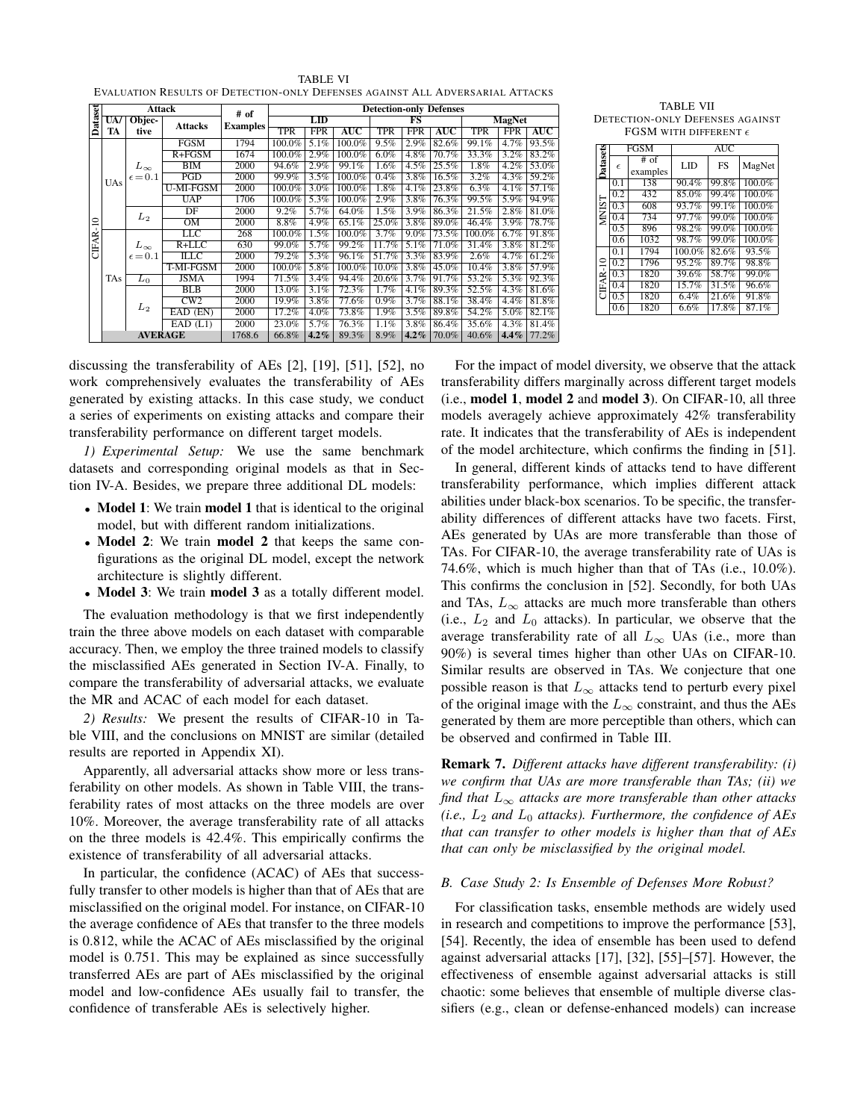| <b>TABLE VI</b>                                                               |  |
|-------------------------------------------------------------------------------|--|
| EVALUATION RESULTS OF DETECTION-ONLY DEFENSES AGAINST ALL ADVERSARIAL ATTACKS |  |

| <b>Dataset</b> |                         | <b>Attack</b>          |                         | # of            |           |                         |           |          |                        | <b>Detection-only Defenses</b> |            |               |       |
|----------------|-------------------------|------------------------|-------------------------|-----------------|-----------|-------------------------|-----------|----------|------------------------|--------------------------------|------------|---------------|-------|
|                | UA/                     | Objec-                 | <b>Attacks</b>          | <b>Examples</b> |           | $\overline{\text{LID}}$ |           |          | $\overline{\text{FS}}$ |                                |            | <b>MagNet</b> |       |
|                | TA                      | tive                   |                         |                 | TPR       | <b>FPR</b>              | AUC       | TPR      | <b>FPR</b>             | AUC                            | <b>TPR</b> | <b>FPR</b>    | AUC   |
|                |                         |                        | <b>FGSM</b>             | 1794            | 100.0%    | 5.1%                    | 100.0%    | 9.5%     | 2.9%                   | 82.6%                          | 99.1%      | 4.7%          | 93.5% |
|                |                         |                        | $R + FGSM$              | 1674            | 100.0%    | 2.9%                    | 100.0%    | 6.0%     | 4.8%                   | 70.7%                          | 33.3%      | 3.2%          | 83.2% |
|                |                         | $L_{\infty}$           | $\overline{\text{BIM}}$ | 2000            | 94.6%     | 2.9%                    | 99.1%     | 1.6%     | 4.5%                   | 25.5%                          | 1.8%       | 4.2%          | 53.0% |
|                | $\epsilon = 0.1$<br>UAs |                        | PGD                     | 2000            | 99.9%     | $3.5\%$                 | 100.0%    | 0.4%     | $3.8\%$                | 16.5%                          | 3.2%       | $4.3\%$       | 59.2% |
|                |                         |                        | U-MI-FGSM               | 2000            | 100.0%    | 3.0%                    | 100.0%    | 1.8%     | $4.1\%$                | 23.8%                          | 6.3%       | $4.1\%$       | 57.1% |
|                |                         |                        | <b>UAP</b>              | 1706            | 100.0%    | 5.3%                    | 100.0%    | 2.9%     | 3.8%                   | 76.3%                          | 99.5%      | 5.9%          | 94.9% |
|                |                         |                        | DF                      | 2000            | 9.2%      | 5.7%                    | 64.0%     | 1.5%     | 3.9%                   | 86.3%                          | 21.5%      | 2.8%          | 81.0% |
| CIFAR-10       | L <sub>2</sub>          | $\overline{\text{OM}}$ | 2000                    | $8.8\%$         | 4.9%      | 65.1%                   | 25.0%     | 3.8%     | 89.0%                  | 46.4%                          | $3.9\%$    | 78.7%         |       |
|                |                         |                        | LLC                     | 268             | 100.0%    | $1.5\%$                 | 100.0%    | 3.7%     | $9.0\%$                | 73.5%                          | 100.0%     | $6.7\%$       | 91.8% |
|                |                         | $L_{\infty}$           | $R+LLC$                 | 630             | 99.0%     | 5.7%                    | 99.2%     | 11.7%    | 5.1%                   | 71.0%                          | 31.4%      | 3.8%          | 81.2% |
|                |                         | $\epsilon = 0.1$       | <b>ILLC</b>             | 2000            | 79.2%     | 5.3%                    | 96.1%     | 51.7%    | 3.3%                   | 83.9%                          | 2.6%       | 4.7%          | 61.2% |
|                |                         |                        | <b>T-MI-FGSM</b>        | 2000            | $100.0\%$ | 5.8%                    | $100.0\%$ | $10.0\%$ | 3.8%                   | 45.0%                          | $10.4\%$   | 3.8%          | 57.9% |
|                | <b>TAs</b>              | $L_0$                  | <b>JSMA</b>             | 1994            | 71.5%     | 3.4%                    | 94.4%     | 20.6%    | 3.7%                   | 91.7%                          | 53.2%      | 5.3%          | 92.3% |
|                |                         |                        | <b>BLB</b>              | 2000            | 13.0%     | 3.1%                    | 72.3%     | 1.7%     | 4.1%                   | 89.3%                          | 52.5%      | $4.3\%$       | 81.6% |
|                |                         | $L_{2}$                | CW2                     | 2000            | 19.9%     | 3.8%                    | 77.6%     | 0.9%     | 3.7%                   | 88.1%                          | 38.4%      | $4.4\%$       | 81.8% |
|                |                         |                        | EAD (EN)                | 2000            | 17.2%     | $4.0\%$                 | 73.8%     | 1.9%     | 3.5%                   | 89.8%                          | 54.2%      | 5.0%          | 82.1% |
|                |                         |                        | $EAD$ (L1)              | 2000            | 23.0%     | 5.7%                    | 76.3%     | 1.1%     | 3.8%                   | 86.4%                          | 35.6%      | 4.3%          | 81.4% |
|                | <b>AVERAGE</b>          |                        |                         | 1768.6          | 66.8%     | $4.2\%$                 | 89.3%     | 8.9%     | $4.2\%$                | 70.0%                          | 40.6%      | $4.4\%$       | 77.2% |

TABLE VII DETECTION-ONLY DEFENSES AGAINST FGSM WITH DIFFERENT  $\epsilon$ 

|              |                  | <b>FGSM</b>        |        | <b>AUC</b> |        |
|--------------|------------------|--------------------|--------|------------|--------|
| atasets      | $\epsilon$       | $#$ of<br>examples | LID    | <b>FS</b>  | MagNet |
|              | 0.1              | 138                | 90.4%  | 99.8%      | 100.0% |
|              | 0.2              | 432                | 85.0%  | 99.4%      | 100.0% |
| <b>NNIST</b> | 0.3              | 608                | 93.7%  | 99.1%      | 100.0% |
|              | 0.4              | 734                | 97.7%  | 99.0%      | 100.0% |
|              | 0.5              | 896                | 98.2%  | 99.0%      | 100.0% |
|              | 0.6              | 1032               | 98.7%  | 99.0%      | 100.0% |
|              | 0.1              | 1794               | 100.0% | 82.6%      | 93.5%  |
|              | 0.2              | 1796               | 95.2%  | 89.7%      | 98.8%  |
|              | $0.\overline{3}$ | 1820               | 39.6%  | 58.7%      | 99.0%  |
| CIFAR-10     | 0.4              | 1820               | 15.7%  | 31.5%      | 96.6%  |
|              | 0.5              | 1820               | 6.4%   | 21.6%      | 91.8%  |
|              | 0.6              | 1820               | 6.6%   | 17.8%      | 87.1%  |

discussing the transferability of AEs [2], [19], [51], [52], no work comprehensively evaluates the transferability of AEs generated by existing attacks. In this case study, we conduct a series of experiments on existing attacks and compare their transferability performance on different target models.

*1) Experimental Setup:* We use the same benchmark datasets and corresponding original models as that in Section IV-A. Besides, we prepare three additional DL models:

- Model 1: We train model 1 that is identical to the original model, but with different random initializations.
- Model 2: We train model 2 that keeps the same configurations as the original DL model, except the network architecture is slightly different.
- Model 3: We train model 3 as a totally different model.

The evaluation methodology is that we first independently train the three above models on each dataset with comparable accuracy. Then, we employ the three trained models to classify the misclassified AEs generated in Section IV-A. Finally, to compare the transferability of adversarial attacks, we evaluate the MR and ACAC of each model for each dataset.

*2) Results:* We present the results of CIFAR-10 in Table VIII, and the conclusions on MNIST are similar (detailed results are reported in Appendix XI).

Apparently, all adversarial attacks show more or less transferability on other models. As shown in Table VIII, the transferability rates of most attacks on the three models are over 10%. Moreover, the average transferability rate of all attacks on the three models is 42.4%. This empirically confirms the existence of transferability of all adversarial attacks.

In particular, the confidence (ACAC) of AEs that successfully transfer to other models is higher than that of AEs that are misclassified on the original model. For instance, on CIFAR-10 the average confidence of AEs that transfer to the three models is 0.812, while the ACAC of AEs misclassified by the original model is 0.751. This may be explained as since successfully transferred AEs are part of AEs misclassified by the original model and low-confidence AEs usually fail to transfer, the confidence of transferable AEs is selectively higher.

For the impact of model diversity, we observe that the attack transferability differs marginally across different target models (i.e., model 1, model 2 and model 3). On CIFAR-10, all three models averagely achieve approximately 42% transferability rate. It indicates that the transferability of AEs is independent of the model architecture, which confirms the finding in [51].

In general, different kinds of attacks tend to have different transferability performance, which implies different attack abilities under black-box scenarios. To be specific, the transferability differences of different attacks have two facets. First, AEs generated by UAs are more transferable than those of TAs. For CIFAR-10, the average transferability rate of UAs is 74.6%, which is much higher than that of TAs (i.e., 10.0%). This confirms the conclusion in [52]. Secondly, for both UAs and TAs,  $L_{\infty}$  attacks are much more transferable than others (i.e.,  $L_2$  and  $L_0$  attacks). In particular, we observe that the average transferability rate of all  $L_{\infty}$  UAs (i.e., more than 90%) is several times higher than other UAs on CIFAR-10. Similar results are observed in TAs. We conjecture that one possible reason is that  $L_{\infty}$  attacks tend to perturb every pixel of the original image with the  $L_{\infty}$  constraint, and thus the AEs generated by them are more perceptible than others, which can be observed and confirmed in Table III.

Remark 7. *Different attacks have different transferability: (i) we confirm that UAs are more transferable than TAs; (ii) we find that* L<sup>∞</sup> *attacks are more transferable than other attacks*  $(i.e., L<sub>2</sub> and L<sub>0</sub> attacks). Furthermore, the confidence of AES$ *that can transfer to other models is higher than that of AEs that can only be misclassified by the original model.*

# *B. Case Study 2: Is Ensemble of Defenses More Robust?*

For classification tasks, ensemble methods are widely used in research and competitions to improve the performance [53], [54]. Recently, the idea of ensemble has been used to defend against adversarial attacks [17], [32], [55]–[57]. However, the effectiveness of ensemble against adversarial attacks is still chaotic: some believes that ensemble of multiple diverse classifiers (e.g., clean or defense-enhanced models) can increase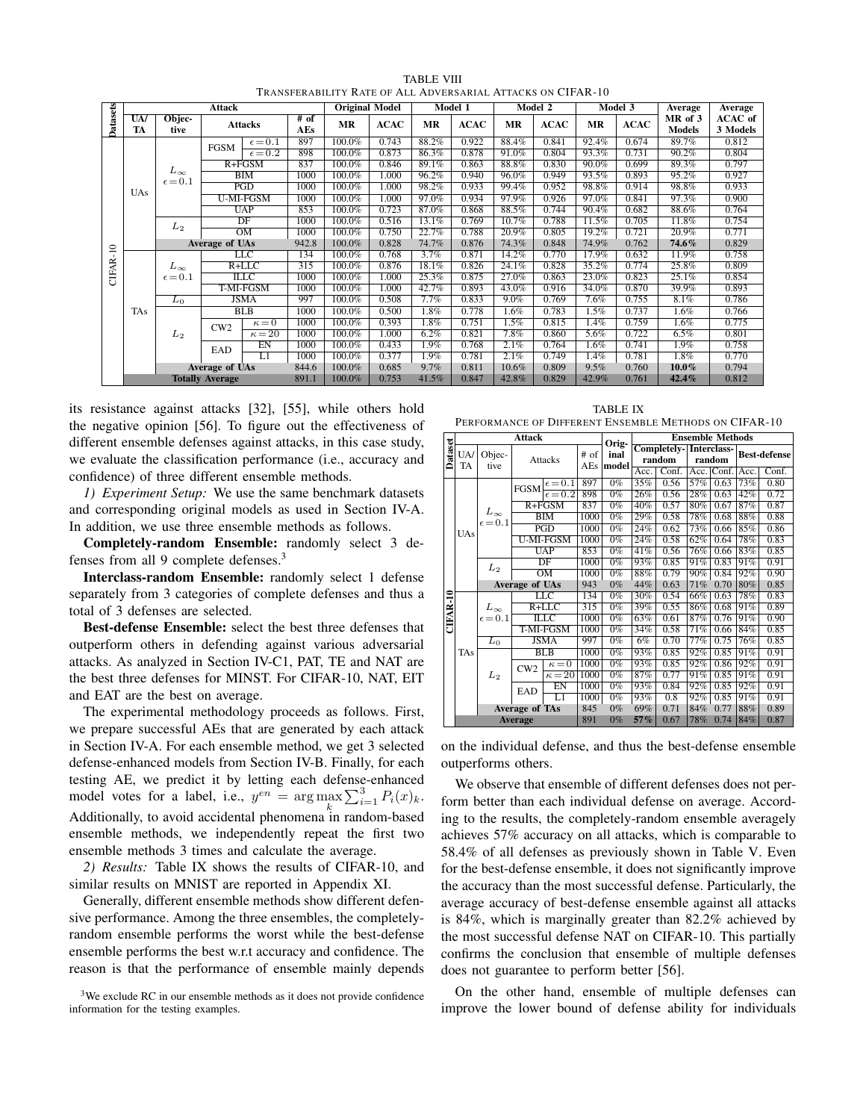|          |                       |                  | <b>Attack</b>          |                  |                      | <b>Original Model</b> |             |           | Model 1     |           | Model 2     |           | Model 3     | Average                  | Average             |
|----------|-----------------------|------------------|------------------------|------------------|----------------------|-----------------------|-------------|-----------|-------------|-----------|-------------|-----------|-------------|--------------------------|---------------------|
| Datasets | $U$ A $U$<br>TA       | Objec-<br>tive   |                        | <b>Attacks</b>   | $#$ of<br><b>AEs</b> | <b>MR</b>             | <b>ACAC</b> | <b>MR</b> | <b>ACAC</b> | <b>MR</b> | <b>ACAC</b> | <b>MR</b> | <b>ACAC</b> | MR of 3<br><b>Models</b> | ACAC of<br>3 Models |
|          |                       |                  | <b>FGSM</b>            | $\epsilon = 0.1$ | 897                  | 100.0%                | 0.743       | 88.2%     | 0.922       | 88.4%     | 0.841       | 92.4%     | 0.674       | 89.7%                    | 0.812               |
|          |                       |                  |                        | $\epsilon = 0.2$ | 898                  | 100.0%                | 0.873       | 86.3%     | 0.878       | 91.0%     | 0.804       | 93.3%     | 0.731       | 90.2%                    | 0.804               |
|          |                       | $L_{\infty}$     |                        | $R + FGSM$       | 837                  | $100.0\%$             | 0.846       | 89.1%     | 0.863       | 88.8%     | 0.830       | 90.0%     | 0.699       | 89.3%                    | 0.797               |
|          |                       | $\epsilon = 0.1$ | <b>BIM</b>             |                  | 1000                 | 100.0%                | 1.000       | 96.2%     | 0.940       | 96.0%     | 0.949       | 93.5%     | 0.893       | 95.2%                    | 0.927               |
|          | <b>UAs</b>            |                  |                        | PGD              | 1000                 | 100.0%                | 1.000       | 98.2%     | 0.933       | 99.4%     | 0.952       | 98.8%     | 0.914       | 98.8%                    | 0.933               |
|          |                       |                  |                        | <b>U-MI-FGSM</b> | 1000                 | 100.0%                | 1.000       | 97.0%     | 0.934       | 97.9%     | 0.926       | 97.0%     | 0.841       | 97.3%                    | 0.900               |
|          |                       |                  |                        | UAP              | 853                  | 100.0%                | 0.723       | 87.0%     | 0.868       | 88.5%     | 0.744       | 90.4%     | 0.682       | 88.6%                    | 0.764               |
|          |                       | L <sub>2</sub>   |                        | DF               | 1000<br>1000         | 100.0%                | 0.516       | 13.1%     | 0.769       | 10.7%     | 0.788       | 11.5%     | 0.705       | 11.8%                    | 0.754               |
|          |                       |                  |                        | OM               |                      | 100.0%                | 0.750       | 22.7%     | 0.788       | 20.9%     | 0.805       | 19.2%     | 0.721       | 20.9%                    | 0.771               |
|          |                       |                  | <b>Average of UAs</b>  |                  | 942.8                | 100.0%                | 0.828       | 74.7%     | 0.876       | 74.3%     | 0.848       | 74.9%     | 0.762       | 74.6%                    | 0.829               |
| CIFAR-10 |                       |                  |                        | LLC              | 134                  | 100.0%                | 0.768       | 3.7%      | 0.871       | 14.2%     | 0.770       | 17.9%     | 0.632       | 11.9%                    | 0.758               |
|          |                       | $L_{\infty}$     |                        | $R+LLC$          | 315                  | 100.0%                | 0.876       | 18.1%     | 0.826       | 24.1%     | 0.828       | 35.2%     | 0.774       | 25.8%                    | 0.809               |
|          |                       | $\epsilon = 0.1$ |                        | <b>ILLC</b>      | 1000                 | 100.0%                | 1.000       | 25.3%     | 0.875       | 27.0%     | 0.863       | 23.0%     | 0.823       | 25.1%                    | 0.854               |
|          |                       |                  |                        | <b>T-MI-FGSM</b> | 1000                 | 100.0%                | 1.000       | 42.7%     | 0.893       | 43.0%     | 0.916       | 34.0%     | 0.870       | 39.9%                    | 0.893               |
|          |                       | $L_0$            |                        | <b>JSMA</b>      | 997                  | 100.0%                | 0.508       | 7.7%      | 0.833       | 9.0%      | 0.769       | 7.6%      | 0.755       | 8.1%                     | 0.786               |
|          | <b>TAs</b>            |                  |                        | <b>BLB</b>       | 1000                 | 100.0%                | 0.500       | 1.8%      | 0.778       | 1.6%      | 0.783       | 1.5%      | 0.737       | 1.6%                     | 0.766               |
|          |                       |                  | CW2                    | $\kappa = 0$     | 1000                 | 100.0%                | 0.393       | 1.8%      | 0.751       | 1.5%      | 0.815       | 1.4%      | 0.759       | 1.6%                     | 0.775               |
|          |                       | L <sub>2</sub>   |                        | $\kappa = 20$    | 1000                 | 100.0%                | 1.000       | 6.2%      | 0.821       | 7.8%      | 0.860       | 5.6%      | 0.722       | 6.5%                     | 0.801               |
|          |                       |                  | EAD                    | EN               | 1000                 | 100.0%                | 0.433       | 1.9%      | 0.768       | 2.1%      | 0.764       | 1.6%      | 0.741       | 1.9%                     | 0.758               |
|          |                       |                  |                        | $\overline{L}$   | 1000                 | 100.0%                | 0.377       | 1.9%      | 0.781       | 2.1%      | 0.749       | 1.4%      | 0.781       | $1.8\%$                  | 0.770               |
|          | <b>Average of UAs</b> |                  |                        | 844.6            | 100.0%               | 0.685                 | 9.7%        | 0.811     | 10.6%       | 0.809     | 9.5%        | 0.760     | $10.0\%$    | 0.794                    |                     |
|          |                       |                  | <b>Totally Average</b> |                  | 891.1                | 100.0%                | 0.753       | 41.5%     | 0.847       | 42.8%     | 0.829       | 42.9%     | 0.761       | 42.4%                    | 0.812               |

TABLE VIII TRANSFERABILITY RATE OF ALL ADVERSARIAL ATTACKS ON CIFAR-10

its resistance against attacks [32], [55], while others hold the negative opinion [56]. To figure out the effectiveness of different ensemble defenses against attacks, in this case study, we evaluate the classification performance (i.e., accuracy and confidence) of three different ensemble methods.

*1) Experiment Setup:* We use the same benchmark datasets and corresponding original models as used in Section IV-A. In addition, we use three ensemble methods as follows.

Completely-random Ensemble: randomly select 3 defenses from all 9 complete defenses.<sup>3</sup>

Interclass-random Ensemble: randomly select 1 defense separately from 3 categories of complete defenses and thus a total of 3 defenses are selected.

Best-defense Ensemble: select the best three defenses that outperform others in defending against various adversarial attacks. As analyzed in Section IV-C1, PAT, TE and NAT are the best three defenses for MINST. For CIFAR-10, NAT, EIT and EAT are the best on average.

The experimental methodology proceeds as follows. First, we prepare successful AEs that are generated by each attack in Section IV-A. For each ensemble method, we get 3 selected defense-enhanced models from Section IV-B. Finally, for each testing AE, we predict it by letting each defense-enhanced model votes for a label, i.e.,  $y^{en} = \arg \max_{k} \sum_{i=1}^{3} P_i(x)_k$ . Additionally, to avoid accidental phenomena in random-based ensemble methods, we independently repeat the first two ensemble methods 3 times and calculate the average.

*2) Results:* Table IX shows the results of CIFAR-10, and similar results on MNIST are reported in Appendix XI.

Generally, different ensemble methods show different defensive performance. Among the three ensembles, the completelyrandom ensemble performs the worst while the best-defense ensemble performs the best w.r.t accuracy and confidence. The reason is that the performance of ensemble mainly depends

<sup>3</sup>We exclude RC in our ensemble methods as it does not provide confidence information for the testing examples.

TABLE IX PERFORMANCE OF DIFFERENT ENSEMBLE METHODS ON CIFAR-10

|                 |            |                                  | Attack                |                       |        | Orig- |      |                                |     | <b>Ensemble Methods</b> |      |                     |
|-----------------|------------|----------------------------------|-----------------------|-----------------------|--------|-------|------|--------------------------------|-----|-------------------------|------|---------------------|
| <b>Dataset</b>  | UA/        | Objec-                           |                       |                       | $#$ of | inal  |      | <b>Completely-</b> Interclass- |     |                         |      | <b>Best-defense</b> |
|                 | TA         | tive                             |                       | Attacks               | AEs    | model |      | random                         |     | random                  |      |                     |
|                 |            |                                  |                       |                       |        |       | Acc. | Conf.                          |     | Acc. Conf.              | Acc. | Conf.               |
|                 |            |                                  | <b>FGSM</b>           | $\epsilon = 0.1$      | 897    | $0\%$ | 35%  | 0.56                           | 57% | 0.63                    | 73%  | 0.80                |
|                 |            |                                  |                       | $\epsilon = 0.2$      | 898    | $0\%$ | 26%  | 0.56                           | 28% | 0.63                    | 42%  | 0.72                |
|                 |            |                                  |                       | $R + FGSM$            | 837    | $0\%$ | 40%  | 0.57                           | 80% | 0.67                    | 87%  | 0.87                |
|                 |            | $L_{\infty}$<br>$\epsilon = 0.1$ |                       | BIM                   | 1000   | $0\%$ | 29%  | 0.58                           | 78% | 0.68                    | 88%  | 0.88                |
|                 | <b>UAs</b> |                                  |                       | PGD                   | 1000   | $0\%$ | 24%  | 0.62                           | 73% | 0.66                    | 85%  | 0.86                |
|                 |            |                                  |                       | <b>U-MI-FGSM</b>      | 1000   | $0\%$ | 24%  | 0.58                           | 62% | 0.64                    | 78%  | 0.83                |
|                 |            |                                  |                       | UAP                   | 853    | $0\%$ | 41%  | 0.56                           | 76% | 0.66                    | 83%  | 0.85                |
|                 |            | $L_2$                            |                       | $\overline{\rm DF}$   | 1000   | $0\%$ | 93%  | 0.85                           | 91% | 0.83                    | 91%  | 0.91                |
|                 |            |                                  |                       | OM                    | 1000   | $0\%$ | 88%  | 0.79                           | 90% | 0.84                    | 92%  | 0.90                |
|                 |            |                                  |                       | <b>Average of UAs</b> |        | $0\%$ | 44%  | 0.63                           | 71% | 0.70                    | 80%  | 0.85                |
|                 |            |                                  |                       | $_{LLC}$              | 134    | $0\%$ | 30%  | 0.54                           | 66% | 0.63                    | 78%  | 0.83                |
| <b>CIFAR-10</b> |            | $L_{\infty}$                     |                       | $R+LLC$               | 315    | $0\%$ | 39%  | 0.55                           | 86% | 0.68                    | 91%  | 0.89                |
|                 |            | $\epsilon = 0.1$                 |                       | <b>ILLC</b>           | 1000   | $0\%$ | 63%  | 0.61                           | 87% | 0.76                    | 91%  | 0.90                |
|                 |            |                                  |                       | <b>T-MI-FGSM</b>      | 1000   | $0\%$ | 34%  | 0.58                           | 71% | 0.66                    | 84%  | 0.85                |
|                 |            | $\overline{L}_0$                 |                       | <b>JSMA</b>           | 997    | $0\%$ | 6%   | 0.70                           | 77% | 0.75                    | 76%  | 0.85                |
|                 | <b>TAs</b> |                                  |                       | <b>BLB</b>            | 1000   | $0\%$ | 93%  | 0.85                           | 92% | 0.85                    | 91%  | 0.91                |
|                 |            |                                  | CW2                   | $\kappa = 0$          | 1000   | $0\%$ | 93%  | 0.85                           | 92% | 0.86                    | 92%  | 0.91                |
|                 |            | L <sub>2</sub>                   |                       | $\kappa = 20$         | 1000   | $0\%$ | 87%  | 0.77                           | 91% | 0.85                    | 91%  | 0.91                |
|                 |            |                                  | EAD                   | $_{\rm EN}$           | 1000   | $0\%$ | 93%  | 0.84                           | 92% | 0.85                    | 92%  | 0.91                |
|                 |            |                                  |                       | $\overline{\rm LI}$   | 1000   | $0\%$ | 93%  | 0.8                            | 92% | 0.85                    | 91%  | 0.91                |
|                 |            |                                  | <b>Average of TAs</b> |                       | 845    | $0\%$ | 69%  | 0.71                           | 84% | 0.77                    | 88%  | 0.89                |
|                 |            |                                  | <b>Average</b>        |                       | 891    | $0\%$ | 57%  | 0.67                           | 78% | 0.74                    | 84%  | 0.87                |

on the individual defense, and thus the best-defense ensemble outperforms others.

We observe that ensemble of different defenses does not perform better than each individual defense on average. According to the results, the completely-random ensemble averagely achieves 57% accuracy on all attacks, which is comparable to 58.4% of all defenses as previously shown in Table V. Even for the best-defense ensemble, it does not significantly improve the accuracy than the most successful defense. Particularly, the average accuracy of best-defense ensemble against all attacks is 84%, which is marginally greater than 82.2% achieved by the most successful defense NAT on CIFAR-10. This partially confirms the conclusion that ensemble of multiple defenses does not guarantee to perform better [56].

On the other hand, ensemble of multiple defenses can improve the lower bound of defense ability for individuals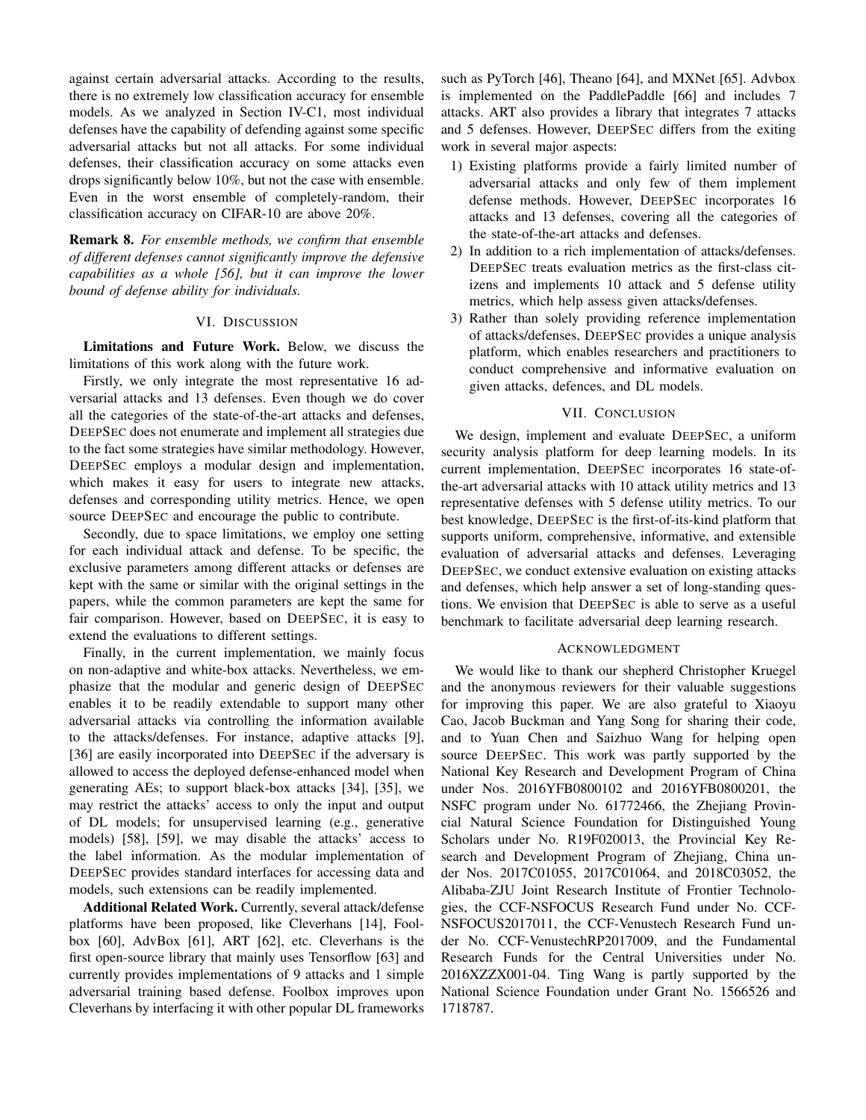against certain adversarial attacks. According to the results, there is no extremely low classification accuracy for ensemble models. As we analyzed in Section IV-C1, most individual defenses have the capability of defending against some specific adversarial attacks but not all attacks. For some individual defenses, their classification accuracy on some attacks even drops significantly below 10%, but not the case with ensemble. Even in the worst ensemble of completely-random, their classification accuracy on CIFAR-10 are above 20%.

Remark 8. *For ensemble methods, we confirm that ensemble of different defenses cannot significantly improve the defensive capabilities as a whole [56], but it can improve the lower bound of defense ability for individuals.*

### VI. DISCUSSION

Limitations and Future Work. Below, we discuss the limitations of this work along with the future work.

Firstly, we only integrate the most representative 16 adversarial attacks and 13 defenses. Even though we do cover all the categories of the state-of-the-art attacks and defenses, DEEPSEC does not enumerate and implement all strategies due to the fact some strategies have similar methodology. However, DEEPSEC employs a modular design and implementation, which makes it easy for users to integrate new attacks, defenses and corresponding utility metrics. Hence, we open source DEEPSEC and encourage the public to contribute.

Secondly, due to space limitations, we employ one setting for each individual attack and defense. To be specific, the exclusive parameters among different attacks or defenses are kept with the same or similar with the original settings in the papers, while the common parameters are kept the same for fair comparison. However, based on DEEPSEC, it is easy to extend the evaluations to different settings.

Finally, in the current implementation, we mainly focus on non-adaptive and white-box attacks. Nevertheless, we emphasize that the modular and generic design of DEEPSEC enables it to be readily extendable to support many other adversarial attacks via controlling the information available to the attacks/defenses. For instance, adaptive attacks [9], [36] are easily incorporated into DEEPSEC if the adversary is allowed to access the deployed defense-enhanced model when generating AEs; to support black-box attacks [34], [35], we may restrict the attacks' access to only the input and output of DL models; for unsupervised learning (e.g., generative models) [58], [59], we may disable the attacks' access to the label information. As the modular implementation of DEEPSEC provides standard interfaces for accessing data and models, such extensions can be readily implemented.

Additional Related Work. Currently, several attack/defense platforms have been proposed, like Cleverhans [14], Foolbox [60], AdvBox [61], ART [62], etc. Cleverhans is the first open-source library that mainly uses Tensorflow [63] and currently provides implementations of 9 attacks and 1 simple adversarial training based defense. Foolbox improves upon Cleverhans by interfacing it with other popular DL frameworks such as PyTorch [46], Theano [64], and MXNet [65]. Advbox is implemented on the PaddlePaddle [66] and includes 7 attacks. ART also provides a library that integrates 7 attacks and 5 defenses. However, DEEPSEC differs from the exiting work in several major aspects:

- 1) Existing platforms provide a fairly limited number of adversarial attacks and only few of them implement defense methods. However, DEEPSEC incorporates 16 attacks and 13 defenses, covering all the categories of the state-of-the-art attacks and defenses.
- 2) In addition to a rich implementation of attacks/defenses. DEEPSEC treats evaluation metrics as the first-class citizens and implements 10 attack and 5 defense utility metrics, which help assess given attacks/defenses.
- 3) Rather than solely providing reference implementation of attacks/defenses, DEEPSEC provides a unique analysis platform, which enables researchers and practitioners to conduct comprehensive and informative evaluation on given attacks, defences, and DL models.

### VII. CONCLUSION

We design, implement and evaluate DEEPSEC, a uniform security analysis platform for deep learning models. In its current implementation, DEEPSEC incorporates 16 state-ofthe-art adversarial attacks with 10 attack utility metrics and 13 representative defenses with 5 defense utility metrics. To our best knowledge, DEEPSEC is the first-of-its-kind platform that supports uniform, comprehensive, informative, and extensible evaluation of adversarial attacks and defenses. Leveraging DEEPSEC, we conduct extensive evaluation on existing attacks and defenses, which help answer a set of long-standing questions. We envision that DEEPSEC is able to serve as a useful benchmark to facilitate adversarial deep learning research.

#### ACKNOWLEDGMENT

We would like to thank our shepherd Christopher Kruegel and the anonymous reviewers for their valuable suggestions for improving this paper. We are also grateful to Xiaoyu Cao, Jacob Buckman and Yang Song for sharing their code, and to Yuan Chen and Saizhuo Wang for helping open source DEEPSEC. This work was partly supported by the National Key Research and Development Program of China under Nos. 2016YFB0800102 and 2016YFB0800201, the NSFC program under No. 61772466, the Zhejiang Provincial Natural Science Foundation for Distinguished Young Scholars under No. R19F020013, the Provincial Key Research and Development Program of Zhejiang, China under Nos. 2017C01055, 2017C01064, and 2018C03052, the Alibaba-ZJU Joint Research Institute of Frontier Technologies, the CCF-NSFOCUS Research Fund under No. CCF-NSFOCUS2017011, the CCF-Venustech Research Fund under No. CCF-VenustechRP2017009, and the Fundamental Research Funds for the Central Universities under No. 2016XZZX001-04. Ting Wang is partly supported by the National Science Foundation under Grant No. 1566526 and 1718787.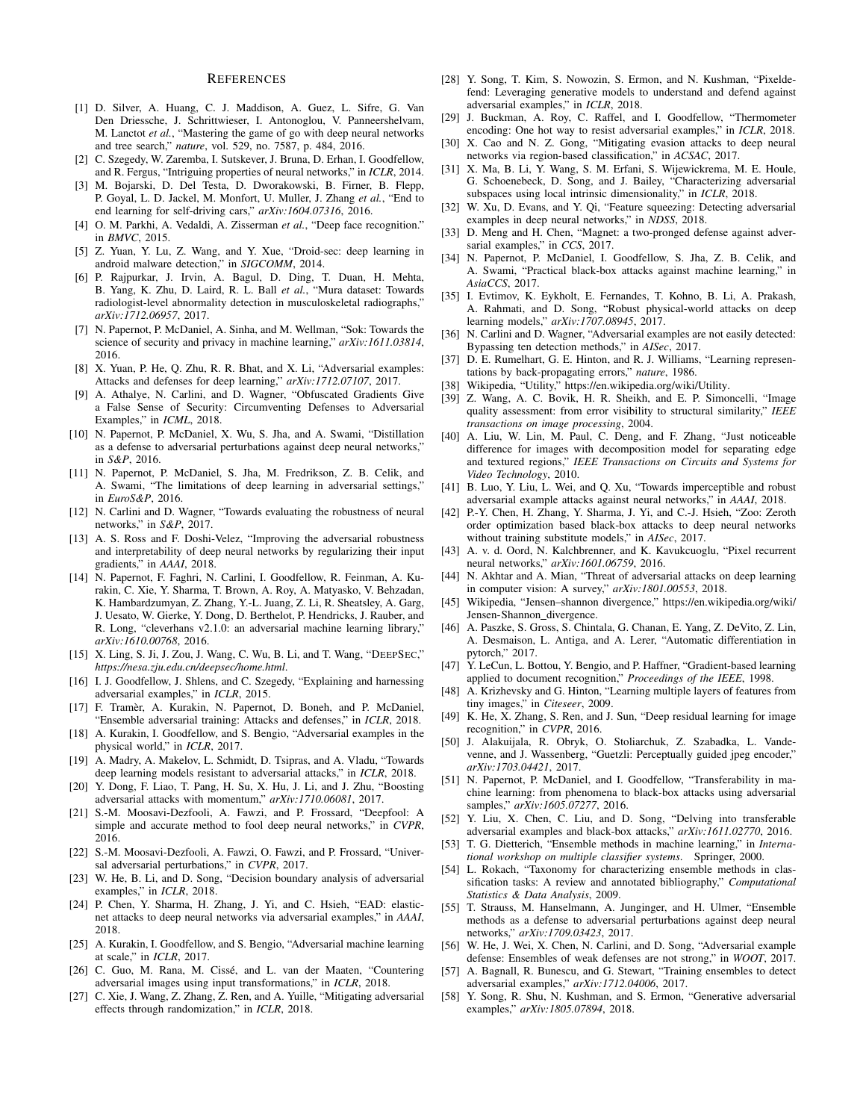#### **REFERENCES**

- [1] D. Silver, A. Huang, C. J. Maddison, A. Guez, L. Sifre, G. Van Den Driessche, J. Schrittwieser, I. Antonoglou, V. Panneershelvam, M. Lanctot *et al.*, "Mastering the game of go with deep neural networks and tree search," *nature*, vol. 529, no. 7587, p. 484, 2016.
- [2] C. Szegedy, W. Zaremba, I. Sutskever, J. Bruna, D. Erhan, I. Goodfellow, and R. Fergus, "Intriguing properties of neural networks," in *ICLR*, 2014.
- [3] M. Bojarski, D. Del Testa, D. Dworakowski, B. Firner, B. Flepp, P. Goyal, L. D. Jackel, M. Monfort, U. Muller, J. Zhang *et al.*, "End to end learning for self-driving cars," *arXiv:1604.07316*, 2016.
- [4] O. M. Parkhi, A. Vedaldi, A. Zisserman *et al.*, "Deep face recognition." in *BMVC*, 2015.
- [5] Z. Yuan, Y. Lu, Z. Wang, and Y. Xue, "Droid-sec: deep learning in android malware detection," in *SIGCOMM*, 2014.
- [6] P. Rajpurkar, J. Irvin, A. Bagul, D. Ding, T. Duan, H. Mehta, B. Yang, K. Zhu, D. Laird, R. L. Ball *et al.*, "Mura dataset: Towards radiologist-level abnormality detection in musculoskeletal radiographs," *arXiv:1712.06957*, 2017.
- [7] N. Papernot, P. McDaniel, A. Sinha, and M. Wellman, "Sok: Towards the science of security and privacy in machine learning,"  $arXiv:1611.03814$ , 2016.
- [8] X. Yuan, P. He, Q. Zhu, R. R. Bhat, and X. Li, "Adversarial examples: Attacks and defenses for deep learning," *arXiv:1712.07107*, 2017.
- A. Athalye, N. Carlini, and D. Wagner, "Obfuscated Gradients Give a False Sense of Security: Circumventing Defenses to Adversarial Examples," in *ICML*, 2018.
- [10] N. Papernot, P. McDaniel, X. Wu, S. Jha, and A. Swami, "Distillation as a defense to adversarial perturbations against deep neural networks," in *S&P*, 2016.
- [11] N. Papernot, P. McDaniel, S. Jha, M. Fredrikson, Z. B. Celik, and A. Swami, "The limitations of deep learning in adversarial settings," in *EuroS&P*, 2016.
- [12] N. Carlini and D. Wagner, "Towards evaluating the robustness of neural networks," in *S&P*, 2017.
- [13] A. S. Ross and F. Doshi-Velez, "Improving the adversarial robustness and interpretability of deep neural networks by regularizing their input gradients," in *AAAI*, 2018.
- [14] N. Papernot, F. Faghri, N. Carlini, I. Goodfellow, R. Feinman, A. Kurakin, C. Xie, Y. Sharma, T. Brown, A. Roy, A. Matyasko, V. Behzadan, K. Hambardzumyan, Z. Zhang, Y.-L. Juang, Z. Li, R. Sheatsley, A. Garg, J. Uesato, W. Gierke, Y. Dong, D. Berthelot, P. Hendricks, J. Rauber, and R. Long, "cleverhans v2.1.0: an adversarial machine learning library," *arXiv:1610.00768*, 2016.
- [15] X. Ling, S. Ji, J. Zou, J. Wang, C. Wu, B. Li, and T. Wang, "DEEPSEC," *https://nesa.zju.edu.cn/deepsec/home.html*.
- [16] I. J. Goodfellow, J. Shlens, and C. Szegedy, "Explaining and harnessing adversarial examples," in *ICLR*, 2015.
- [17] F. Tramèr, A. Kurakin, N. Papernot, D. Boneh, and P. McDaniel, "Ensemble adversarial training: Attacks and defenses," in *ICLR*, 2018.
- [18] A. Kurakin, I. Goodfellow, and S. Bengio, "Adversarial examples in the physical world," in *ICLR*, 2017.
- [19] A. Madry, A. Makelov, L. Schmidt, D. Tsipras, and A. Vladu, "Towards deep learning models resistant to adversarial attacks," in *ICLR*, 2018.
- [20] Y. Dong, F. Liao, T. Pang, H. Su, X. Hu, J. Li, and J. Zhu, "Boosting adversarial attacks with momentum," *arXiv:1710.06081*, 2017.
- [21] S.-M. Moosavi-Dezfooli, A. Fawzi, and P. Frossard, "Deepfool: A simple and accurate method to fool deep neural networks," in *CVPR*, 2016.
- [22] S.-M. Moosavi-Dezfooli, A. Fawzi, O. Fawzi, and P. Frossard, "Universal adversarial perturbations," in *CVPR*, 2017.
- [23] W. He, B. Li, and D. Song, "Decision boundary analysis of adversarial examples," in *ICLR*, 2018.
- [24] P. Chen, Y. Sharma, H. Zhang, J. Yi, and C. Hsieh, "EAD: elasticnet attacks to deep neural networks via adversarial examples," in *AAAI*, 2018.
- [25] A. Kurakin, I. Goodfellow, and S. Bengio, "Adversarial machine learning at scale," in *ICLR*, 2017.
- [26] C. Guo, M. Rana, M. Cissé, and L. van der Maaten, "Countering adversarial images using input transformations," in *ICLR*, 2018.
- [27] C. Xie, J. Wang, Z. Zhang, Z. Ren, and A. Yuille, "Mitigating adversarial effects through randomization," in *ICLR*, 2018.
- [28] Y. Song, T. Kim, S. Nowozin, S. Ermon, and N. Kushman, "Pixeldefend: Leveraging generative models to understand and defend against adversarial examples," in *ICLR*, 2018.
- [29] J. Buckman, A. Roy, C. Raffel, and I. Goodfellow, "Thermometer encoding: One hot way to resist adversarial examples," in *ICLR*, 2018.
- [30] X. Cao and N. Z. Gong, "Mitigating evasion attacks to deep neural networks via region-based classification," in *ACSAC*, 2017.
- [31] X. Ma, B. Li, Y. Wang, S. M. Erfani, S. Wijewickrema, M. E. Houle, G. Schoenebeck, D. Song, and J. Bailey, "Characterizing adversarial subspaces using local intrinsic dimensionality," in *ICLR*, 2018.
- [32] W. Xu, D. Evans, and Y. Qi, "Feature squeezing: Detecting adversarial examples in deep neural networks," in *NDSS*, 2018.
- [33] D. Meng and H. Chen, "Magnet: a two-pronged defense against adversarial examples," in *CCS*, 2017.
- [34] N. Papernot, P. McDaniel, I. Goodfellow, S. Jha, Z. B. Celik, and A. Swami, "Practical black-box attacks against machine learning," in *AsiaCCS*, 2017.
- [35] I. Evtimov, K. Eykholt, E. Fernandes, T. Kohno, B. Li, A. Prakash, A. Rahmati, and D. Song, "Robust physical-world attacks on deep learning models," *arXiv:1707.08945*, 2017.
- [36] N. Carlini and D. Wagner, "Adversarial examples are not easily detected: Bypassing ten detection methods," in *AISec*, 2017.
- [37] D. E. Rumelhart, G. E. Hinton, and R. J. Williams, "Learning representations by back-propagating errors," *nature*, 1986.
- [38] Wikipedia, "Utility," https://en.wikipedia.org/wiki/Utility.
- [39] Z. Wang, A. C. Bovik, H. R. Sheikh, and E. P. Simoncelli, "Image quality assessment: from error visibility to structural similarity," *IEEE transactions on image processing*, 2004.
- [40] A. Liu, W. Lin, M. Paul, C. Deng, and F. Zhang, "Just noticeable difference for images with decomposition model for separating edge and textured regions," *IEEE Transactions on Circuits and Systems for Video Technology*, 2010.
- [41] B. Luo, Y. Liu, L. Wei, and Q. Xu, "Towards imperceptible and robust adversarial example attacks against neural networks," in *AAAI*, 2018.
- [42] P.-Y. Chen, H. Zhang, Y. Sharma, J. Yi, and C.-J. Hsieh, "Zoo: Zeroth order optimization based black-box attacks to deep neural networks without training substitute models," in *AISec*, 2017.
- [43] A. v. d. Oord, N. Kalchbrenner, and K. Kavukcuoglu, "Pixel recurrent neural networks," *arXiv:1601.06759*, 2016.
- [44] N. Akhtar and A. Mian, "Threat of adversarial attacks on deep learning in computer vision: A survey," *arXiv:1801.00553*, 2018.
- [45] Wikipedia, "Jensen–shannon divergence," https://en.wikipedia.org/wiki/ Jensen-Shannon\_divergence.
- [46] A. Paszke, S. Gross, S. Chintala, G. Chanan, E. Yang, Z. DeVito, Z. Lin, A. Desmaison, L. Antiga, and A. Lerer, "Automatic differentiation in pytorch," 2017.
- [47] Y. LeCun, L. Bottou, Y. Bengio, and P. Haffner, "Gradient-based learning applied to document recognition," *Proceedings of the IEEE*, 1998.
- [48] A. Krizhevsky and G. Hinton, "Learning multiple layers of features from tiny images," in *Citeseer*, 2009.
- [49] K. He, X. Zhang, S. Ren, and J. Sun, "Deep residual learning for image recognition," in *CVPR*, 2016.
- [50] J. Alakuijala, R. Obryk, O. Stoliarchuk, Z. Szabadka, L. Vandevenne, and J. Wassenberg, "Guetzli: Perceptually guided jpeg encoder," *arXiv:1703.04421*, 2017.
- [51] N. Papernot, P. McDaniel, and I. Goodfellow, "Transferability in machine learning: from phenomena to black-box attacks using adversarial samples," *arXiv:1605.07277*, 2016.
- [52] Y. Liu, X. Chen, C. Liu, and D. Song, "Delving into transferable adversarial examples and black-box attacks," *arXiv:1611.02770*, 2016.
- [53] T. G. Dietterich, "Ensemble methods in machine learning," in *International workshop on multiple classifier systems*. Springer, 2000.
- [54] L. Rokach, "Taxonomy for characterizing ensemble methods in classification tasks: A review and annotated bibliography," *Computational Statistics & Data Analysis*, 2009.
- [55] T. Strauss, M. Hanselmann, A. Junginger, and H. Ulmer, "Ensemble methods as a defense to adversarial perturbations against deep neural networks," *arXiv:1709.03423*, 2017.
- [56] W. He, J. Wei, X. Chen, N. Carlini, and D. Song, "Adversarial example defense: Ensembles of weak defenses are not strong," in *WOOT*, 2017.
- [57] A. Bagnall, R. Bunescu, and G. Stewart, "Training ensembles to detect adversarial examples," *arXiv:1712.04006*, 2017.
- [58] Y. Song, R. Shu, N. Kushman, and S. Ermon, "Generative adversarial examples," *arXiv:1805.07894*, 2018.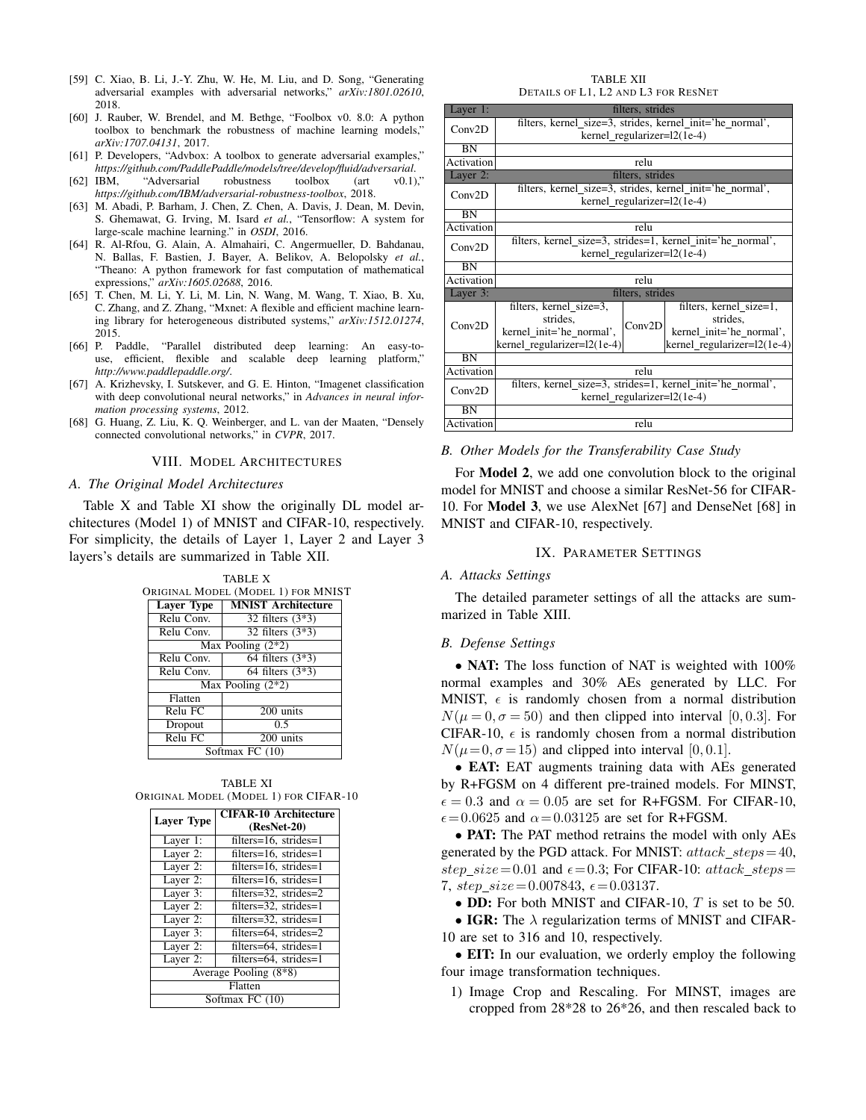- [59] C. Xiao, B. Li, J.-Y. Zhu, W. He, M. Liu, and D. Song, "Generating adversarial examples with adversarial networks," *arXiv:1801.02610*, 2018.
- [60] J. Rauber, W. Brendel, and M. Bethge, "Foolbox v0. 8.0: A python toolbox to benchmark the robustness of machine learning models," *arXiv:1707.04131*, 2017.
- [61] P. Developers, "Advbox: A toolbox to generate adversarial examples," *https://github.com/PaddlePaddle/models/tree/develop/fluid/adversarial*.
- [62] IBM, "Adversarial robustness toolbox (art v0.1)," *https://github.com/IBM/adversarial-robustness-toolbox*, 2018.
- [63] M. Abadi, P. Barham, J. Chen, Z. Chen, A. Davis, J. Dean, M. Devin, S. Ghemawat, G. Irving, M. Isard *et al.*, "Tensorflow: A system for large-scale machine learning." in *OSDI*, 2016.
- [64] R. Al-Rfou, G. Alain, A. Almahairi, C. Angermueller, D. Bahdanau, N. Ballas, F. Bastien, J. Bayer, A. Belikov, A. Belopolsky *et al.*, "Theano: A python framework for fast computation of mathematical expressions," *arXiv:1605.02688*, 2016.
- [65] T. Chen, M. Li, Y. Li, M. Lin, N. Wang, M. Wang, T. Xiao, B. Xu, C. Zhang, and Z. Zhang, "Mxnet: A flexible and efficient machine learning library for heterogeneous distributed systems," *arXiv:1512.01274*, 2015.
- [66] P. Paddle, "Parallel distributed deep learning: An easy-touse, efficient, flexible and scalable deep learning platform," *http://www.paddlepaddle.org/*.
- [67] A. Krizhevsky, I. Sutskever, and G. E. Hinton, "Imagenet classification with deep convolutional neural networks," in *Advances in neural information processing systems*, 2012.
- [68] G. Huang, Z. Liu, K. Q. Weinberger, and L. van der Maaten, "Densely connected convolutional networks," in *CVPR*, 2017.

#### VIII. MODEL ARCHITECTURES

#### *A. The Original Model Architectures*

Table X and Table XI show the originally DL model architectures (Model 1) of MNIST and CIFAR-10, respectively. For simplicity, the details of Layer 1, Layer 2 and Layer 3 layers's details are summarized in Table XII.

TABLE X ORIGINAL MODEL (MODEL 1) FOR MNIST<br>
Laver Type | MNIST Architecture **MNIST Architecture** Relu Conv. 32 filters (3\*3)<br>Relu Conv. 32 filters (3\*3) 32 filters  $(3*3)$ Max Pooling (2\*2) Relu Conv.  $\Big|$  64 filters  $(3*3)$ Relu Conv.  $\Big|$  64 filters (3\*3) Max Pooling (2\*2) Flatten Relu FC 200 units Dropout 0.5<br>
Relu FC 200 u 200 units Softmax FC (10)

TABLE XI ORIGINAL MODEL (MODEL 1) FOR CIFAR-10

| <b>Laver Type</b>     | <b>CIFAR-10 Architecture</b><br>$(ResNet-20)$ |  |  |  |  |  |  |  |
|-----------------------|-----------------------------------------------|--|--|--|--|--|--|--|
| Layer 1:              | $filters=16$ , strides=1                      |  |  |  |  |  |  |  |
| Layer 2:              | filters= $16$ , strides= $1$                  |  |  |  |  |  |  |  |
| Layer 2:              | $filters=16$ , strides=1                      |  |  |  |  |  |  |  |
| Layer 2:              | filters= $16$ , strides= $1$                  |  |  |  |  |  |  |  |
| Layer 3:              | filters= $32$ , strides= $2$                  |  |  |  |  |  |  |  |
| Layer $2$ :           | $filters=32$ , strides=1                      |  |  |  |  |  |  |  |
| Layer 2:              | filters= $32$ , strides= $1$                  |  |  |  |  |  |  |  |
| Layer 3:              | filters= $64$ , strides= $2$                  |  |  |  |  |  |  |  |
| Layer 2:              | $\overline{\text{filters}}=64$ , strides=1    |  |  |  |  |  |  |  |
| Layer 2:              | filters=64, strides=1                         |  |  |  |  |  |  |  |
| Average Pooling (8*8) |                                               |  |  |  |  |  |  |  |
| Flatten               |                                               |  |  |  |  |  |  |  |
| Softmax FC (10)       |                                               |  |  |  |  |  |  |  |

TABLE XII DETAILS OF L1, L2 AND L3 FOR RESNET

| Layer 1:   |                                                                                                | filters, strides   |                                                                                                |  |  |  |  |  |  |
|------------|------------------------------------------------------------------------------------------------|--------------------|------------------------------------------------------------------------------------------------|--|--|--|--|--|--|
| Conv2D     | filters, kernel_size=3, strides, kernel_init='he_normal',<br>kernel_regularizer=12(1e-4)       |                    |                                                                                                |  |  |  |  |  |  |
| BN         |                                                                                                |                    |                                                                                                |  |  |  |  |  |  |
| Activation |                                                                                                | relu               |                                                                                                |  |  |  |  |  |  |
| Layer 2:   |                                                                                                | filters, strides   |                                                                                                |  |  |  |  |  |  |
| Conv2D     | kernel regularizer= $12(1e-4)$                                                                 |                    | filters, kernel_size=3, strides, kernel_init='he_normal',                                      |  |  |  |  |  |  |
| BN         |                                                                                                |                    |                                                                                                |  |  |  |  |  |  |
| Activation |                                                                                                | relu               |                                                                                                |  |  |  |  |  |  |
| Conv2D     | filters, kernel size=3, strides=1, kernel init='he normal',<br>kernel_regularizer=l2(1e-4)     |                    |                                                                                                |  |  |  |  |  |  |
| BN         |                                                                                                |                    |                                                                                                |  |  |  |  |  |  |
| Activation |                                                                                                | relu               |                                                                                                |  |  |  |  |  |  |
| Layer 3:   |                                                                                                | filters, strides   |                                                                                                |  |  |  |  |  |  |
| Conv2D     | filters, kernel size=3,<br>strides.<br>kernel init='he normal',<br>kernel_regularizer=12(1e-4) | Conv <sub>2D</sub> | filters, kernel size=1,<br>strides.<br>kernel init='he normal',<br>kernel_regularizer=l2(1e-4) |  |  |  |  |  |  |
| BN         |                                                                                                |                    |                                                                                                |  |  |  |  |  |  |
| Activation |                                                                                                | relu               |                                                                                                |  |  |  |  |  |  |
| Conv2D     | filters, kernel_size=3, strides=1, kernel_init='he_normal',<br>$kernel\_regularizer=12(1e-4)$  |                    |                                                                                                |  |  |  |  |  |  |
| BN         |                                                                                                |                    |                                                                                                |  |  |  |  |  |  |
| Activation |                                                                                                | relu               |                                                                                                |  |  |  |  |  |  |

#### *B. Other Models for the Transferability Case Study*

For Model 2, we add one convolution block to the original model for MNIST and choose a similar ResNet-56 for CIFAR-10. For Model 3, we use AlexNet [67] and DenseNet [68] in MNIST and CIFAR-10, respectively.

# IX. PARAMETER SETTINGS

### *A. Attacks Settings*

The detailed parameter settings of all the attacks are summarized in Table XIII.

### *B. Defense Settings*

• NAT: The loss function of NAT is weighted with 100% normal examples and 30% AEs generated by LLC. For MNIST,  $\epsilon$  is randomly chosen from a normal distribution  $N(\mu = 0, \sigma = 50)$  and then clipped into interval [0, 0.3]. For CIFAR-10,  $\epsilon$  is randomly chosen from a normal distribution  $N(\mu=0, \sigma=15)$  and clipped into interval [0, 0.1].

• EAT: EAT augments training data with AEs generated by R+FGSM on 4 different pre-trained models. For MINST,  $\epsilon = 0.3$  and  $\alpha = 0.05$  are set for R+FGSM. For CIFAR-10,  $\epsilon$  = 0.0625 and  $\alpha$  = 0.03125 are set for R+FGSM.

• **PAT:** The PAT method retrains the model with only AEs generated by the PGD attack. For MNIST:  $attack\_steps = 40$ ,  $step\_size = 0.01$  and  $\epsilon = 0.3$ ; For CIFAR-10:  $attack\_steps =$ 7,  $step\_size = 0.007843, \epsilon = 0.03137.$ 

• **DD:** For both MNIST and CIFAR-10, T is set to be 50.

• IGR: The  $\lambda$  regularization terms of MNIST and CIFAR-10 are set to 316 and 10, respectively.

• EIT: In our evaluation, we orderly employ the following four image transformation techniques.

1) Image Crop and Rescaling. For MINST, images are cropped from 28\*28 to 26\*26, and then rescaled back to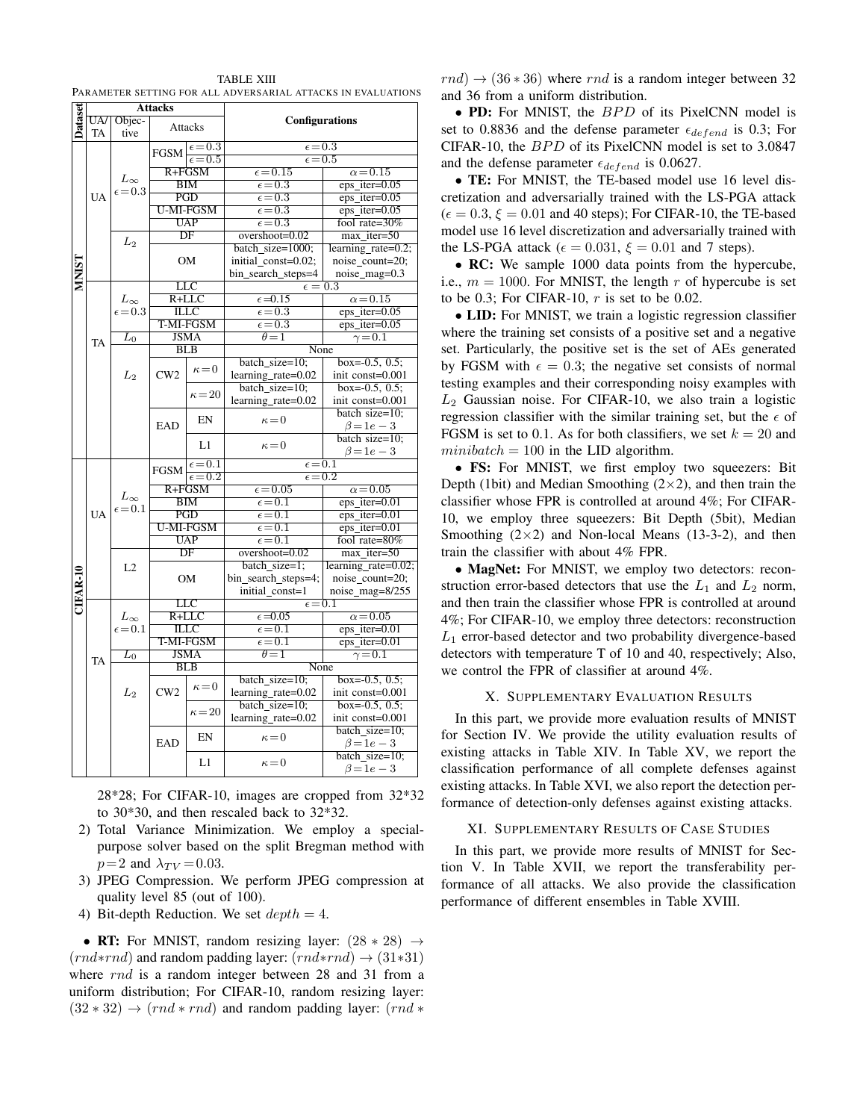|                 |                       |                  | <b>Attacks</b> |                         |                                      |                                    |  |  |  |  |  |
|-----------------|-----------------------|------------------|----------------|-------------------------|--------------------------------------|------------------------------------|--|--|--|--|--|
| <b>Datase</b>   | $\overline{UA}$<br>TA | Objec-<br>tive   |                | <b>Attacks</b>          | <b>Configurations</b>                |                                    |  |  |  |  |  |
|                 |                       |                  | <b>FGSM</b>    | $\epsilon = 0.3$        | $\epsilon = 0.3$                     |                                    |  |  |  |  |  |
|                 |                       |                  |                | $\epsilon = 0.5$        | $\epsilon = 0.5$                     |                                    |  |  |  |  |  |
|                 |                       | $L_{\infty}$     |                | $R + FGSM$              | $\epsilon = 0.15$                    | $\alpha = 0.15$                    |  |  |  |  |  |
|                 |                       | $\epsilon = 0.3$ |                | <b>BIM</b>              | $\epsilon = 0.3$                     | $eps\_iter=0.05$                   |  |  |  |  |  |
|                 | <b>UA</b>             |                  |                | <b>PGD</b>              | $\epsilon = 0.3$                     | $eps\_iter=0.05$                   |  |  |  |  |  |
|                 |                       |                  |                | <b>U-MI-FGSM</b>        | $\epsilon = 0.3$                     | $eps\_iter=0.05$                   |  |  |  |  |  |
|                 |                       |                  |                | $\overline{\text{UAP}}$ | $\epsilon = 0.3$                     | fool rate= $30\%$                  |  |  |  |  |  |
|                 |                       | $L_{2}$          |                | $\overline{DF}$         | $overshoot = 0.02$                   | $max_i$ iter=50                    |  |  |  |  |  |
|                 |                       |                  |                |                         | batch_size=1000;                     | learning_rate=0.2;                 |  |  |  |  |  |
|                 |                       |                  |                | OM                      | initial_const=0.02;                  | noise_count=20;                    |  |  |  |  |  |
| <b>NNIST</b>    |                       |                  |                |                         | bin search steps=4                   | noise_mag=0.3                      |  |  |  |  |  |
|                 |                       |                  |                | $_{LLC}$                | $\epsilon = 0.3$                     |                                    |  |  |  |  |  |
|                 |                       | $L_{\infty}$     |                | $R+LLC$                 | $\epsilon = 0.15$                    | $\alpha = 0.15$                    |  |  |  |  |  |
|                 |                       | $\epsilon = 0.3$ |                | <b>ILLC</b>             | $\epsilon = 0.3$                     | eps_iter=0.05                      |  |  |  |  |  |
|                 |                       |                  |                | <b>T-MI-FGSM</b>        | $\epsilon = 0.3$                     | $eps\_iter=0.05$                   |  |  |  |  |  |
|                 | TA                    | $L_0$            |                | <b>JSMA</b>             | $\theta = 1$                         | $\gamma = 0.1$                     |  |  |  |  |  |
|                 |                       |                  |                | <b>BLB</b>              | None                                 |                                    |  |  |  |  |  |
|                 |                       |                  |                | $\kappa = 0$            | batch size=10;                       | $box = -0.5, 0.5;$                 |  |  |  |  |  |
|                 |                       | $L_{2}$          | CW2            |                         | learning_rate=0.02                   | init const=0.001                   |  |  |  |  |  |
|                 |                       |                  |                | $\kappa = 20$           | batch_size=10;                       | $box = -0.5, 0.5;$                 |  |  |  |  |  |
|                 |                       |                  |                |                         | learning_rate=0.02                   | init const=0.001                   |  |  |  |  |  |
|                 |                       |                  | EAD            | EN                      | $\kappa = 0$                         | batch size=10;                     |  |  |  |  |  |
|                 |                       |                  |                |                         |                                      | $\beta = 1e - 3$                   |  |  |  |  |  |
|                 |                       |                  |                | L1                      | $\kappa = 0$                         | batch size=10;<br>$\beta = 1e-3$   |  |  |  |  |  |
|                 |                       |                  |                | $\epsilon = 0.1$        |                                      |                                    |  |  |  |  |  |
|                 |                       |                  | FGSM           | $\epsilon = 0.2$        | $\epsilon = 0.1$<br>$\epsilon = 0.2$ |                                    |  |  |  |  |  |
|                 |                       |                  |                | $R + FGSM$              | $\epsilon = 0.05$                    | $\alpha = 0.05$                    |  |  |  |  |  |
|                 |                       | $L_{\infty}$     |                | $\overline{\text{BIM}}$ | $\epsilon = 0.1$                     | $eps$ iter=0.01                    |  |  |  |  |  |
|                 | <b>UA</b>             | $\epsilon = 0.1$ |                | PGD                     | $\epsilon = 0.1$                     | $eps$ _iter=0.01                   |  |  |  |  |  |
|                 |                       |                  |                | <b>U-MI-FGSM</b>        | $\epsilon = 0.1$                     | $eps$ iter=0.01                    |  |  |  |  |  |
|                 |                       |                  |                | $\overline{\text{UAP}}$ | $\epsilon = 0.1$                     | fool rate=80%                      |  |  |  |  |  |
|                 |                       |                  |                | $\overline{DF}$         | $overshoot = 0.02$                   | $max$ _iter=50                     |  |  |  |  |  |
|                 |                       | L2               |                |                         | batch_size=1;                        | learning_rate=0.02;                |  |  |  |  |  |
|                 |                       |                  |                | <b>OM</b>               | bin_search_steps=4;                  | noise_count=20;                    |  |  |  |  |  |
|                 |                       |                  |                |                         | initial const=1                      | noise_mag=8/255                    |  |  |  |  |  |
| <b>CIFAR-10</b> |                       |                  |                | LLC                     | $\epsilon = 0.1$                     |                                    |  |  |  |  |  |
|                 |                       | $L_{\infty}$     |                | $R+LLC$                 | $\epsilon = 0.05$                    | $\alpha = 0.05$                    |  |  |  |  |  |
|                 |                       | $\epsilon = 0.1$ |                | <b>ILLC</b>             | $\epsilon = 0.1$                     | eps_iter=0.01                      |  |  |  |  |  |
|                 |                       |                  |                | <b>T-MI-FGSM</b>        | $\epsilon = 0.1$                     | $eps$ iter=0.01                    |  |  |  |  |  |
|                 | TA                    | $L_0$            |                | <b>JSMA</b>             | $\theta = 1$                         | $\overline{\gamma=0.1}$            |  |  |  |  |  |
|                 |                       |                  |                | BLB                     | None                                 |                                    |  |  |  |  |  |
|                 |                       |                  |                | $\kappa = 0$            | batch_size=10;                       | $box = -0.5, 0.5;$                 |  |  |  |  |  |
|                 |                       | CW2<br>$L_{2}$   |                |                         | learning_rate=0.02                   | init const=0.001                   |  |  |  |  |  |
|                 |                       |                  |                | $\kappa = 20$           | batch_size=10;                       | $box = -0.5, 0.5;$                 |  |  |  |  |  |
|                 |                       |                  |                |                         | learning_rate=0.02                   | init const=0.001                   |  |  |  |  |  |
|                 |                       |                  |                | EN                      | $\kappa = 0$                         | batch_size=10;                     |  |  |  |  |  |
|                 |                       |                  | EAD            |                         |                                      | $\beta = 1e-3$                     |  |  |  |  |  |
|                 |                       |                  |                | L1                      | $\kappa = 0$                         | batch_size=10;<br>$\beta = 1e - 3$ |  |  |  |  |  |

TABLE XIII PARAMETER SETTING FOR ALL ADVERSARIAL ATTACKS IN EVALUATIONS

28\*28; For CIFAR-10, images are cropped from 32\*32 to 30\*30, and then rescaled back to 32\*32.

- 2) Total Variance Minimization. We employ a specialpurpose solver based on the split Bregman method with  $p=2$  and  $\lambda_{TV} = 0.03$ .
- 3) JPEG Compression. We perform JPEG compression at quality level 85 (out of 100).
- 4) Bit-depth Reduction. We set  $depth = 4$ .

• RT: For MNIST, random resizing layer:  $(28 \times 28) \rightarrow$  $(rnd*rnd)$  and random padding layer:  $(rnd*rnd) \rightarrow (31*31)$ where *rnd* is a random integer between 28 and 31 from a uniform distribution; For CIFAR-10, random resizing layer:  $(32 * 32) \rightarrow (rnd * rnd)$  and random padding layer:  $(rnd *$   $rnd$ )  $\rightarrow$  (36  $*$  36) where *rnd* is a random integer between 32 and 36 from a uniform distribution.

• PD: For MNIST, the *BPD* of its PixelCNN model is set to 0.8836 and the defense parameter  $\epsilon_{defend}$  is 0.3; For CIFAR-10, the  $BPD$  of its PixelCNN model is set to 3.0847 and the defense parameter  $\epsilon_{defend}$  is 0.0627.

• TE: For MNIST, the TE-based model use 16 level discretization and adversarially trained with the LS-PGA attack  $(\epsilon = 0.3, \xi = 0.01$  and 40 steps); For CIFAR-10, the TE-based model use 16 level discretization and adversarially trained with the LS-PGA attack ( $\epsilon = 0.031$ ,  $\xi = 0.01$  and 7 steps).

• RC: We sample 1000 data points from the hypercube, i.e.,  $m = 1000$ . For MNIST, the length r of hypercube is set to be 0.3; For CIFAR-10,  $r$  is set to be 0.02.

• LID: For MNIST, we train a logistic regression classifier where the training set consists of a positive set and a negative set. Particularly, the positive set is the set of AEs generated by FGSM with  $\epsilon = 0.3$ ; the negative set consists of normal testing examples and their corresponding noisy examples with  $L_2$  Gaussian noise. For CIFAR-10, we also train a logistic regression classifier with the similar training set, but the  $\epsilon$  of FGSM is set to 0.1. As for both classifiers, we set  $k = 20$  and  $minibatch = 100$  in the LID algorithm.

• FS: For MNIST, we first employ two squeezers: Bit Depth (1bit) and Median Smoothing  $(2\times 2)$ , and then train the classifier whose FPR is controlled at around 4%; For CIFAR-10, we employ three squeezers: Bit Depth (5bit), Median Smoothing  $(2\times2)$  and Non-local Means  $(13-3-2)$ , and then train the classifier with about 4% FPR.

• MagNet: For MNIST, we employ two detectors: reconstruction error-based detectors that use the  $L_1$  and  $L_2$  norm, and then train the classifier whose FPR is controlled at around 4%; For CIFAR-10, we employ three detectors: reconstruction  $L_1$  error-based detector and two probability divergence-based detectors with temperature T of 10 and 40, respectively; Also, we control the FPR of classifier at around 4%.

#### X. SUPPLEMENTARY EVALUATION RESULTS

In this part, we provide more evaluation results of MNIST for Section IV. We provide the utility evaluation results of existing attacks in Table XIV. In Table XV, we report the classification performance of all complete defenses against existing attacks. In Table XVI, we also report the detection performance of detection-only defenses against existing attacks.

#### XI. SUPPLEMENTARY RESULTS OF CASE STUDIES

In this part, we provide more results of MNIST for Section V. In Table XVII, we report the transferability performance of all attacks. We also provide the classification performance of different ensembles in Table XVIII.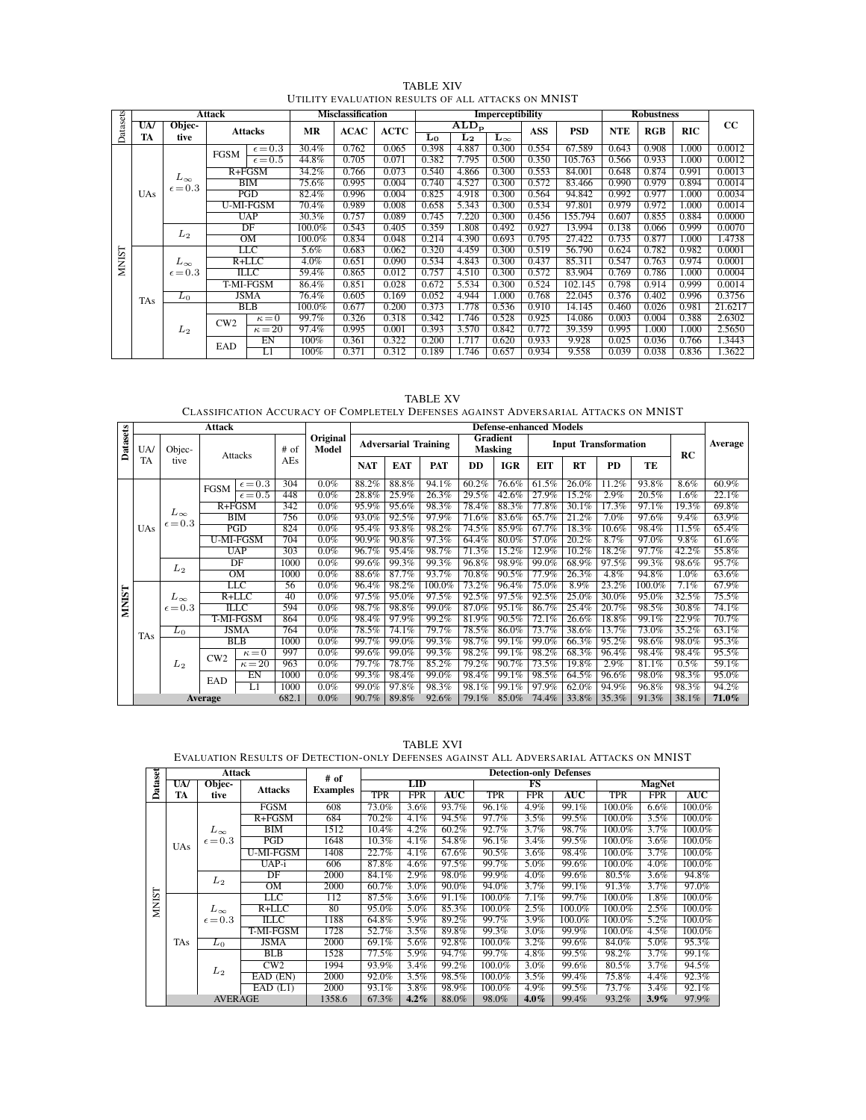|              |            |                  | Attack       |                  |               | <b>Misclassification</b> |             |       |                                        | Imperceptibility |            |            |            | <b>Robustness</b> |            |             |       |       |       |       |       |
|--------------|------------|------------------|--------------|------------------|---------------|--------------------------|-------------|-------|----------------------------------------|------------------|------------|------------|------------|-------------------|------------|-------------|-------|-------|-------|-------|-------|
| Datasets     | UA/        | Objec-           |              | <b>Attacks</b>   | MR            | <b>ACAC</b>              | <b>ACTC</b> |       | $\overline{\mathrm{ALD}}_{\mathrm{p}}$ |                  | <b>ASS</b> | <b>PSD</b> | <b>NTE</b> | RGB               | <b>RIC</b> | $_{\rm CC}$ |       |       |       |       |       |
|              | TA         | tive             |              |                  |               |                          |             | L٥    | $L_{2}$                                | $L_{\infty}$     |            |            |            |                   |            |             |       |       |       |       |       |
|              |            |                  | <b>FGSM</b>  | $\epsilon = 0.3$ | 30.4%         | 0.762                    | 0.065       | 0.398 | 4.887                                  | 0.300            | 0.554      | 67.589     | 0.643      | 0.908             | 1.000      | 0.0012      |       |       |       |       |       |
|              |            |                  |              | $\epsilon = 0.5$ | 44.8%         | 0.705                    | 0.071       | 0.382 | 7.795                                  | 0.500            | 0.350      | 105.763    | 0.566      | 0.933             | 000.1      | 0.0012      |       |       |       |       |       |
|              |            | $L_{\infty}$     |              | $R + FGSM$       | 34.2%         | 0.766                    | 0.073       | 0.540 | 4.866                                  | 0.300            | 0.553      | 84.001     | 0.648      | 0.874             | 0.991      | 0.0013      |       |       |       |       |       |
|              |            | $\epsilon = 0.3$ |              | BIM              | 75.6%         | 0.995                    | 0.004       | 0.740 | 4.527                                  | 0.300            | 0.572      | 83.466     | 0.990      | 0.979             | 0.894      | 0.0014      |       |       |       |       |       |
|              | <b>UAs</b> |                  |              | PGD              | 82.4%         | 0.996                    | 0.004       | 0.825 | 4.918                                  | 0.300            | 0.564      | 94.842     | 0.992      | 0.977             | 1.000      | 0.0034      |       |       |       |       |       |
|              |            |                  |              | <b>U-MI-FGSM</b> | 70.4%         | 0.989                    | 0.008       | 0.658 | 5.343                                  | 0.300            | 0.534      | 97.801     | 0.979      | 0.972             | 000.       | 0.0014      |       |       |       |       |       |
|              |            |                  | <b>UAP</b>   |                  | 30.3%         | 0.757                    | 0.089       | 0.745 | 7.220                                  | 0.300            | 0.456      | 155.794    | 0.607      | 0.855             | 0.884      | 0.0000      |       |       |       |       |       |
|              |            | L <sub>2</sub>   |              | DF               | 100.0%        | 0.543                    | 0.405       | 0.359 | .808                                   | 0.492            | 0.927      | 13.994     | 0.138      | 0.066             | 0.999      | 0.0070      |       |       |       |       |       |
|              |            |                  |              | OM               | 100.0%        | 0.834                    | 0.048       | 0.214 | 4.390                                  | 0.693            | 0.795      | 27.422     | 0.735      | 0.877             | 000.1      | 1.4738      |       |       |       |       |       |
| <b>NNIST</b> |            |                  | $_{\rm LLC}$ |                  | 5.6%          | 0.683                    | 0.062       | 0.320 | 4.459                                  | 0.300            | 0.519      | 56.790     | 0.624      | 0.782             | 0.982      | 0.0001      |       |       |       |       |       |
|              |            | $L_{\infty}$     | $R+LLC$      |                  | 4.0%<br>59.4% | 0.651                    | 0.090       | 0.534 | 4.843                                  | 0.300            | 0.437      | 85.311     | 0.547      | 0.763             | 0.974      | 0.0001      |       |       |       |       |       |
|              |            | $\epsilon = 0.3$ |              | <b>ILLC</b>      |               | 0.865                    | 0.012       | 0.757 | 4.510                                  | 0.300            | 0.572      | 83.904     | 0.769      | 0.786             | 000.       | 0.0004      |       |       |       |       |       |
|              |            |                  |              | T-MI-FGSM        | 86.4%         | 0.851                    | 0.028       | 0.672 | 5.534                                  | 0.300            | 0.524      | 102.145    | 0.798      | 0.914             | 0.999      | 0.0014      |       |       |       |       |       |
|              | <b>TAs</b> | $L_0$            |              | <b>JSMA</b>      | 76.4%         | 0.605                    | 0.169       | 0.052 | 4.944                                  | 1.000            | 0.768      | 22.045     | 0.376      | 0.402             | 0.996      | 0.3756      |       |       |       |       |       |
|              |            |                  |              | <b>BLB</b>       | 100.0%        | 0.677                    | 0.200       | 0.373 | 1.778                                  | 0.536            | 0.910      | 14.145     | 0.460      | 0.026             | 0.981      | 21.6217     |       |       |       |       |       |
|              |            |                  | CW2          | $\kappa = 0$     | 99.7%         | 0.326                    | 0.318       | 0.342 | 1.746                                  | 0.528            | 0.925      | 14.086     | 0.003      | 0.004             | 0.388      | 2.6302      |       |       |       |       |       |
|              |            | $L_2$            |              | $\kappa = 20$    | 97.4%         | 0.995                    | 0.001       | 0.393 | 3.570                                  | 0.842            | 0.772      | 39.359     | 0.995      | 1.000             | 1.000      | 2.5650      |       |       |       |       |       |
|              |            |                  | EAD          | EN               | 100%          | 0.361                    | 0.322       | 0.200 | 1.717                                  | 0.620            | 0.933      | 9.928      | 0.025      | 0.036             | 0.766      | 1.3443      |       |       |       |       |       |
|              |            |                  |              |                  |               |                          |             |       |                                        | L1               | 100%       | 0.371      | 0.312      | 0.189             | 1.746      | 0.657       | 0.934 | 9.558 | 0.039 | 0.038 | 0.836 |

TABLE XIV UTILITY EVALUATION RESULTS OF ALL ATTACKS ON MNIST

TABLE XV

CLASSIFICATION ACCURACY OF COMPLETELY DEFENSES AGAINST ADVERSARIAL ATTACKS ON MNIST

|                 |                                    |                  | Attack                  |                  |              |                          | <b>Defense-enhanced Models</b> |                             |        |                            |            |       |           |                             |        |         |         |
|-----------------|------------------------------------|------------------|-------------------------|------------------|--------------|--------------------------|--------------------------------|-----------------------------|--------|----------------------------|------------|-------|-----------|-----------------------------|--------|---------|---------|
| <b>Datasets</b> | UA/                                | Objec-           | Attacks                 |                  | $#$ of       | Original<br>Model<br>AEs |                                | <b>Adversarial Training</b> |        | <b>Gradient</b><br>Masking |            |       |           | <b>Input Transformation</b> |        | RC      | Average |
|                 | TA                                 | tive             |                         |                  |              |                          | <b>NAT</b>                     | EAT                         | PAT    | DD                         | <b>IGR</b> | EIT   | <b>RT</b> | <b>PD</b>                   | TE     |         |         |
|                 |                                    |                  | <b>FGSM</b>             | $\epsilon = 0.3$ | 304          | $0.0\%$                  | 88.2%                          | 88.8%                       | 94.1%  | 60.2%                      | 76.6%      | 61.5% | 26.0%     | 11.2%                       | 93.8%  | 8.6%    | 60.9%   |
|                 |                                    |                  |                         | $\epsilon = 0.5$ | 448          | $0.0\%$                  | 28.8%                          | 25.9%                       | 26.3%  | 29.5%                      | 42.6%      | 27.9% | 15.2%     | 2.9%                        | 20.5%  | 1.6%    | 22.1%   |
|                 |                                    | $L_{\infty}$     |                         | $R + FGSM$       | 342          | 0.0%                     | 95.9%                          | 95.6%                       | 98.3%  | 78.4%                      | 88.3%      | 77.8% | 30.1%     | 17.3%                       | 97.1%  | 19.3%   | 69.8%   |
|                 |                                    | $\epsilon = 0.3$ | $\overline{\text{BIM}}$ |                  | 756          | 0.0%                     | 93.0%                          | 92.5%                       | 97.9%  | 71.6%                      | 83.6%      | 65.7% | 21.2%     | 7.0%                        | 97.6%  | 9.4%    | 63.9%   |
|                 | <b>UAs</b>                         |                  | PGD                     |                  | 824          | 0.0%                     | 95.4%                          | 93.8%                       | 98.2%  | 74.5%                      | 85.9%      | 67.7% | 18.3%     | 10.6%                       | 98.4%  | 11.5%   | 65.4%   |
|                 |                                    |                  |                         | <b>U-MI-FGSM</b> | 704          | 0.0%                     | 90.9%                          | 90.8%                       | 97.3%  | 64.4%                      | 80.0%      | 57.0% | 20.2%     | 8.7%                        | 97.0%  | 9.8%    | 61.6%   |
|                 |                                    |                  |                         | <b>UAP</b>       | 303          | 0.0%                     | 96.7%                          | 95.4%                       | 98.7%  | 71.3%                      | 15.2%      | 12.9% | 10.2%     | 18.2%                       | 97.7%  | 42.2%   | 55.8%   |
|                 |                                    | L <sub>2</sub>   |                         | DF               | 1000<br>1000 | 0.0%                     | 99.6%                          | 99.3%                       | 99.3%  | 96.8%                      | 98.9%      | 99.0% | 68.9%     | 97.5%                       | 99.3%  | 98.6%   | 95.7%   |
|                 |                                    |                  |                         | OM               |              | $0.0\%$                  | 88.6%                          | 87.7%                       | 93.7%  | 70.8%                      | 90.5%      | 77.9% | 26.3%     | 4.8%                        | 94.8%  | 1.0%    | 63.6%   |
|                 |                                    |                  | <b>LLC</b>              |                  | 56           | $0.0\%$                  | 96.4%                          | 98.2%                       | 100.0% | 73.2%                      | 96.4%      | 75.0% | 8.9%      | 23.2%                       | 100.0% | $7.1\%$ | 67.9%   |
|                 |                                    | $L_{\infty}$     | $R+LLC$                 |                  | 40           | $0.0\%$                  | 97.5%                          | 95.0%                       | 97.5%  | 92.5%                      | 97.5%      | 92.5% | 25.0%     | 30.0%                       | 95.0%  | 32.5%   | 75.5%   |
| NNIST           |                                    | $\epsilon = 0.3$ | <b>ILLC</b>             |                  | 594          | $0.0\%$                  | 98.7%                          | 98.8%                       | 99.0%  | 87.0%                      | 95.1%      | 86.7% | 25.4%     | 20.7%                       | 98.5%  | 30.8%   | 74.1%   |
|                 |                                    |                  |                         | <b>T-MI-FGSM</b> | 864          | $0.0\%$                  | 98.4%                          | 97.9%                       | 99.2%  | 81.9%                      | 90.5%      | 72.1% | 26.6%     | 18.8%                       | 99.1%  | 22.9%   | 70.7%   |
|                 | <b>TAs</b>                         | $L_0$            |                         | JSMA             | 764          | $0.0\%$                  | 78.5%                          | 74.1%                       | 79.7%  | 78.5%                      | 86.0%      | 73.7% | 38.6%     | 13.7%                       | 73.0%  | 35.2%   | 63.1%   |
|                 |                                    |                  |                         | <b>BLB</b>       | 1000         | $0.0\%$                  | 99.7%                          | 99.0%                       | 99.3%  | 98.7%                      | 99.1%      | 99.0% | 66.3%     | 95.2%                       | 98.6%  | 98.0%   | 95.3%   |
|                 |                                    |                  | CW2                     | $\kappa = 0$     | 997          | $0.0\%$                  | 99.6%                          | 99.0%                       | 99.3%  | 98.2%                      | 99.1%      | 98.2% | 68.3%     | 96.4%                       | 98.4%  | 98.4%   | 95.5%   |
|                 |                                    | L <sub>2</sub>   |                         | $\kappa = 20$    | 963          | $0.0\%$                  | 79.7%                          | 78.7%                       | 85.2%  | 79.2%                      | 90.7%      | 73.5% | 19.8%     | 2.9%                        | 81.1%  | 0.5%    | 59.1%   |
|                 |                                    |                  | EAD                     | EN               | 1000         | 0.0%                     | 99.3%                          | 98.4%                       | 99.0%  | 98.4%                      | 99.1%      | 98.5% | 64.5%     | 96.6%                       | 98.0%  | 98.3%   | 95.0%   |
|                 |                                    |                  |                         | LI               | 1000         | $0.0\%$                  | 99.0%<br>90.7%                 | 97.8%                       | 98.3%  | 98.1%                      | 99.1%      | 97.9% | 62.0%     | 94.9%                       | 96.8%  | 98.3%   | 94.2%   |
|                 | 682.1<br>$0.0\%$<br><b>Average</b> |                  |                         |                  |              |                          |                                | 89.8%                       | 92.6%  | 79.1%                      | 85.0%      | 74.4% | 33.8%     | 35.3%                       | 91.3%  | 38.1%   | 71.0%   |

TABLE XVI

EVALUATION RESULTS OF DETECTION-ONLY DEFENSES AGAINST ALL ADVERSARIAL ATTACKS ON MNIST

| Dataset      |               | <b>Attack</b>    |                        | # of            | <b>Detection-only Defenses</b> |                         |          |        |            |                         |        |               |                         |  |
|--------------|---------------|------------------|------------------------|-----------------|--------------------------------|-------------------------|----------|--------|------------|-------------------------|--------|---------------|-------------------------|--|
|              | UA/<br>Objec- |                  | <b>Attacks</b>         | <b>Examples</b> |                                | $\overline{\text{LID}}$ |          |        | FS         |                         |        | <b>MagNet</b> |                         |  |
|              | TA            | tive             |                        |                 | <b>TPR</b>                     | <b>FPR</b>              | AUC      | TPR    | <b>FPR</b> | $\overline{\text{AUC}}$ | TPR    | $_{\rm{FPR}}$ | $\overline{\text{AUC}}$ |  |
|              |               |                  | <b>FGSM</b>            | 608             | 73.0%                          | 3.6%                    | 93.7%    | 96.1%  | 4.9%       | 99.1%                   | 100.0% | 6.6%          | 100.0%                  |  |
|              |               |                  | $R + FGSM$             | 684             | 70.2%                          | 4.1%                    | 94.5%    | 97.7%  | 3.5%       | 99.5%                   | 100.0% | 3.5%          | 100.0%                  |  |
|              |               | $L_{\infty}$     | <b>BIM</b>             | 1512            | $10.4\%$                       | 4.2%                    | 60.2%    | 92.7%  | 3.7%       | 98.7%                   | 100.0% | 3.7%          | 100.0%                  |  |
|              | <b>UAs</b>    | $\epsilon = 0.3$ | PGD                    | 1648            | 10.3%                          | 4.1%                    | 54.8%    | 96.1%  | 3.4%       | 99.5%                   | 100.0% | 3.6%          | $100.0\%$               |  |
|              |               |                  | <b>U-MI-FGSM</b>       | 1408            | 22.7%                          | 4.1%                    | 67.6%    | 90.5%  | 3.6%       | 98.4%                   | 100.0% | 3.7%          | 100.0%                  |  |
|              |               |                  | $UAP-i$                | 606             | 87.8%                          | 4.6%                    | 97.5%    | 99.7%  | 5.0%       | 99.6%                   | 100.0% | 4.0%          | $100.0\%$               |  |
|              |               | L <sub>2</sub>   | DF                     | 2000            | 84.1%                          | 2.9%                    | 98.0%    | 99.9%  | $4.0\%$    | 99.6%                   | 80.5%  | 3.6%          | 94.8%                   |  |
|              |               |                  | $\overline{\text{OM}}$ | 2000            | 60.7%                          | 3.0%                    | $90.0\%$ | 94.0%  | 3.7%       | 99.1%                   | 91.3%  | 3.7%          | 97.0%                   |  |
| <b>MNIST</b> |               | $L_{\infty}$     | LLC                    | 112             | 87.5%                          | 3.6%                    | 91.1%    | 100.0% | 7.1%       | 99.7%                   | 100.0% | $1.8\%$       | 100.0%                  |  |
|              |               |                  | $R+LLC$                | 80              | 95.0%                          | 5.0%                    | 85.3%    | 100.0% | 2.5%       | $100.0\%$               | 100.0% | 2.5%          | 100.0%                  |  |
|              |               | $\epsilon = 0.3$ | <b>ILLC</b>            | 1188            | 64.8%                          | 5.9%                    | 89.2%    | 99.7%  | 3.9%       | 100.0%                  | 100.0% | 5.2%          | 100.0%                  |  |
|              |               |                  | <b>T-MI-FGSM</b>       | 1728            | 52.7%                          | $3.5\%$                 | 89.8%    | 99.3%  | 3.0%       | 99.9%                   | 100.0% | 4.5%          | $100.0\%$               |  |
|              | <b>TAs</b>    | $L_0$            | JSMA                   | 2000            | 69.1%                          | 5.6%                    | 92.8%    | 100.0% | 3.2%       | 99.6%                   | 84.0%  | 5.0%          | 95.3%                   |  |
|              |               |                  | <b>BLB</b>             | 1528            | 77.5%                          | 5.9%                    | 94.7%    | 99.7%  | 4.8%       | 99.5%                   | 98.2%  | 3.7%          | 99.1%                   |  |
|              |               | L <sub>2</sub>   | CW2                    | 1994            | 93.9%                          | 3.4%                    | 99.2%    | 100.0% | 3.0%       | 99.6%                   | 80.5%  | 3.7%          | 94.5%                   |  |
|              |               |                  | EAD (EN)               | 2000            | 92.0%                          | 3.5%                    | 98.5%    | 100.0% | 3.5%       | 99.4%                   | 75.8%  | 4.4%          | 92.3%                   |  |
|              |               |                  | $EAD$ (L1)             | 2000            | 93.1%                          | $3.8\%$                 | 98.9%    | 100.0% | 4.9%       | 99.5%                   | 73.7%  | 3.4%          | 92.1%                   |  |
|              |               | <b>AVERAGE</b>   |                        | 1358.6          | 67.3%                          | $4.2\%$                 | 88.0%    | 98.0%  | $4.0\%$    | 99.4%                   | 93.2%  | $3.9\%$       | 97.9%                   |  |